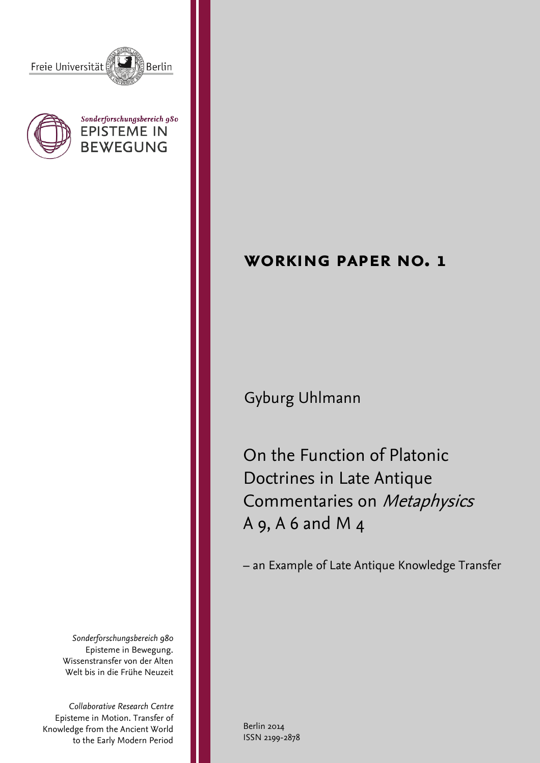





*Sonderforschungsbereich 980* Episteme in Bewegung. Wissenstransfer von der Alten Welt bis in die Frühe Neuzeit

*Collaborative Research Centre* Episteme in Motion. Transfer of Knowledge from the Ancient World to the Early Modern Period

# Berlin 2014 ISSN 2199-2878

**working paper no. 1**

Gyburg Uhlmann

On the Function of Platonic Doctrines in Late Antique Commentaries on Metaphysics A 9, A 6 and M 4

– an Example of Late Antique Knowledge Transfer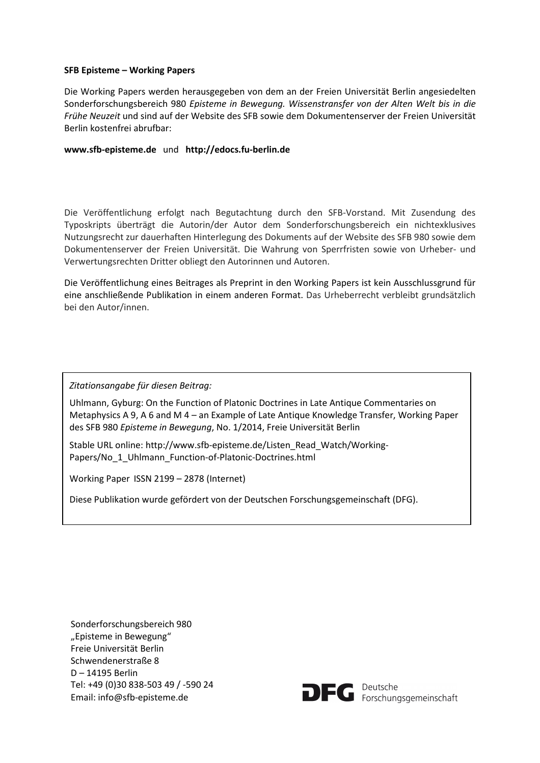# **SFB Episteme – Working Papers**

Die Working Papers werden herausgegeben von dem an der Freien Universität Berlin angesiedelten Sonderforschungsbereich 980 *Episteme in Bewegung. Wissenstransfer von der Alten Welt bis in die Frühe Neuzeit* und sind auf der Website des SFB sowie dem Dokumentenserver der Freien Universität Berlin kostenfrei abrufbar:

# **www.sfb-episteme.de** und **http://edocs.fu-berlin.de**

Die Veröffentlichung erfolgt nach Begutachtung durch den SFB-Vorstand. Mit Zusendung des Typoskripts überträgt die Autorin/der Autor dem Sonderforschungsbereich ein nichtexklusives Nutzungsrecht zur dauerhaften Hinterlegung des Dokuments auf der Website des SFB 980 sowie dem Dokumentenserver der Freien Universität. Die Wahrung von Sperrfristen sowie von Urheber- und Verwertungsrechten Dritter obliegt den Autorinnen und Autoren.

Die Veröffentlichung eines Beitrages als Preprint in den Working Papers ist kein Ausschlussgrund für eine anschließende Publikation in einem anderen Format. Das Urheberrecht verbleibt grundsätzlich bei den Autor/innen.

*Zitationsangabe für diesen Beitrag:*

Uhlmann, Gyburg: On the Function of Platonic Doctrines in Late Antique Commentaries on Metaphysics A 9, A 6 and M 4 – an Example of Late Antique Knowledge Transfer, Working Paper des SFB 980 *Episteme in Bewegung*, No. 1/2014, Freie Universität Berlin

Stable URL online: http://www.sfb-episteme.de/Listen\_Read\_Watch/Working-Papers/No\_1\_Uhlmann\_Function-of-Platonic-Doctrines.html

Working Paper ISSN 2199 – 2878 (Internet)

Diese Publikation wurde gefördert von der Deutschen Forschungsgemeinschaft (DFG).

Sonderforschungsbereich 980 "Episteme in Bewegung" Freie Universität Berlin Schwendenerstraße 8 D – 14195 Berlin Tel: +49 (0)30 838-503 49 / -590 24 Email: info@sfb-episteme.de



**DFC** Peutsche<br>
Forschungsgemeinschaft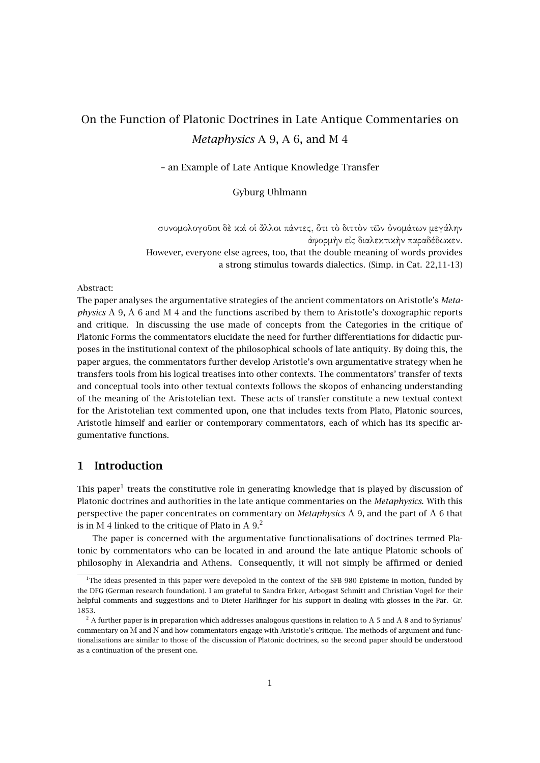# On the Function of Platonic Doctrines in Late Antique Commentaries on *Metaphysics* A 9, A 6, and M 4

– an Example of Late Antique Knowledge Transfer

Gyburg Uhlmann

συνοµολογοῦσι δὲ καὶ οἱ ἄλλοι πάντες, ὅτι τὸ διττὸν τῶν ὀνοµάτων µεγάλην ἀφορµὴν εἰς διαλεκτικὴν παραδέδωκεν. However, everyone else agrees, too, that the double meaning of words provides a strong stimulus towards dialectics. (Simp. in Cat. 22,11-13)

#### Abstract:

The paper analyses the argumentative strategies of the ancient commentators on Aristotle's *Metaphysics* Α 9, Α 6 and Μ 4 and the functions ascribed by them to Aristotle's doxographic reports and critique. In discussing the use made of concepts from the Categories in the critique of Platonic Forms the commentators elucidate the need for further differentiations for didactic purposes in the institutional context of the philosophical schools of late antiquity. By doing this, the paper argues, the commentators further develop Aristotle's own argumentative strategy when he transfers tools from his logical treatises into other contexts. The commentators' transfer of texts and conceptual tools into other textual contexts follows the skopos of enhancing understanding of the meaning of the Aristotelian text. These acts of transfer constitute a new textual context for the Aristotelian text commented upon, one that includes texts from Plato, Platonic sources, Aristotle himself and earlier or contemporary commentators, each of which has its specific argumentative functions.

# **1 Introduction**

This paper<sup>1</sup> treats the constitutive role in generating knowledge that is played by discussion of Platonic doctrines and authorities in the late antique commentaries on the *Metaphysics*. With this perspective the paper concentrates on commentary on *Metaphysics* Α 9, and the part of Α 6 that is in M 4 linked to the critique of Plato in A  $9<sup>2</sup>$ .

The paper is concerned with the argumentative functionalisations of doctrines termed Platonic by commentators who can be located in and around the late antique Platonic schools of philosophy in Alexandria and Athens. Consequently, it will not simply be affirmed or denied

<sup>&</sup>lt;sup>1</sup>The ideas presented in this paper were devepoled in the context of the SFB 980 Episteme in motion, funded by the DFG (German research foundation). I am grateful to Sandra Erker, Arbogast Schmitt and Christian Vogel for their helpful comments and suggestions and to Dieter Harlfinger for his support in dealing with glosses in the Par. Gr. 1853.

 $2$  A further paper is in preparation which addresses analogous questions in relation to A 5 and A 8 and to Syrianus' commentary on Μ and Ν and how commentators engage with Aristotle's critique. The methods of argument and functionalisations are similar to those of the discussion of Platonic doctrines, so the second paper should be understood as a continuation of the present one.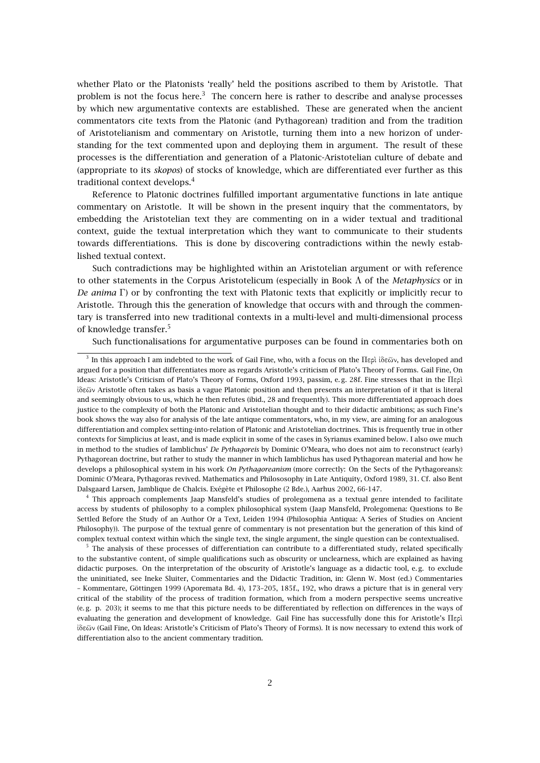whether Plato or the Platonists 'really' held the positions ascribed to them by Aristotle. That problem is not the focus here.<sup>3</sup> The concern here is rather to describe and analyse processes by which new argumentative contexts are established. These are generated when the ancient commentators cite texts from the Platonic (and Pythagorean) tradition and from the tradition of Aristotelianism and commentary on Aristotle, turning them into a new horizon of understanding for the text commented upon and deploying them in argument. The result of these processes is the differentiation and generation of a Platonic-Aristotelian culture of debate and (appropriate to its *skopos*) of stocks of knowledge, which are differentiated ever further as this traditional context develops.<sup>4</sup>

Reference to Platonic doctrines fulfilled important argumentative functions in late antique commentary on Aristotle. It will be shown in the present inquiry that the commentators, by embedding the Aristotelian text they are commenting on in a wider textual and traditional context, guide the textual interpretation which they want to communicate to their students towards differentiations. This is done by discovering contradictions within the newly established textual context.

Such contradictions may be highlighted within an Aristotelian argument or with reference to other statements in the Corpus Aristotelicum (especially in Book Λ of the *Metaphysics* or in *De anima* Γ) or by confronting the text with Platonic texts that explicitly or implicitly recur to Aristotle. Through this the generation of knowledge that occurs with and through the commentary is transferred into new traditional contexts in a multi-level and multi-dimensional process of knowledge transfer.<sup>5</sup>

Such functionalisations for argumentative purposes can be found in commentaries both on

4 This approach complements Jaap Mansfeld's studies of prolegomena as a textual genre intended to facilitate access by students of philosophy to a complex philosophical system (Jaap Mansfeld, Prolegomena: Questions to Be Settled Before the Study of an Author Or a Text, Leiden 1994 (Philosophia Antiqua: A Series of Studies on Ancient Philosophy)). The purpose of the textual genre of commentary is not presentation but the generation of this kind of complex textual context within which the single text, the single argument, the single question can be contextualised.

<sup>5</sup> The analysis of these processes of differentiation can contribute to a differentiated study, related specifically to the substantive content, of simple qualifications such as obscurity or unclearness, which are explained as having didactic purposes. On the interpretation of the obscurity of Aristotle's language as a didactic tool, e. g. to exclude the uninitiated, see Ineke Sluiter, Commentaries and the Didactic Tradition, in: Glenn W. Most (ed.) Commentaries – Kommentare, Göttingen 1999 (Aporemata Bd. 4), 173–205, 185f., 192, who draws a picture that is in general very critical of the stability of the process of tradition formation, which from a modern perspective seems uncreative (e. g. p. 203); it seems to me that this picture needs to be differentiated by reflection on differences in the ways of evaluating the generation and development of knowledge. Gail Fine has successfully done this for Aristotle's Περὶ ἰδεῶν (Gail Fine, On Ideas: Aristotle's Criticism of Plato's Theory of Forms). It is now necessary to extend this work of differentiation also to the ancient commentary tradition.

 $3$  In this approach I am indebted to the work of Gail Fine, who, with a focus on the Περὶ ἰδεῶν, has developed and argued for a position that differentiates more as regards Aristotle's criticism of Plato's Theory of Forms. Gail Fine, On Ideas: Aristotle's Criticism of Plato's Theory of Forms, Oxford 1993, passim, e. g. 28f. Fine stresses that in the Περὶ ἰδεῶν Aristotle often takes as basis a vague Platonic position and then presents an interpretation of it that is literal and seemingly obvious to us, which he then refutes (ibid., 28 and frequently). This more differentiated approach does justice to the complexity of both the Platonic and Aristotelian thought and to their didactic ambitions; as such Fine's book shows the way also for analysis of the late antique commentators, who, in my view, are aiming for an analogous differentiation and complex setting-into-relation of Platonic and Aristotelian doctrines. This is frequently true in other contexts for Simplicius at least, and is made explicit in some of the cases in Syrianus examined below. I also owe much in method to the studies of Iamblichus' *De Pythagoreis* by Dominic O'Meara, who does not aim to reconstruct (early) Pythagorean doctrine, but rather to study the manner in which Iamblichus has used Pythagorean material and how he develops a philosophical system in his work *On Pythagoreanism* (more correctly: On the Sects of the Pythagoreans): Dominic O'Meara, Pythagoras revived. Mathematics and Philososophy in Late Antiquity, Oxford 1989, 31. Cf. also Bent Dalsgaard Larsen, Jamblique de Chalcis. Exégète et Philosophe (2 Bde.), Aarhus 2002, 66-147.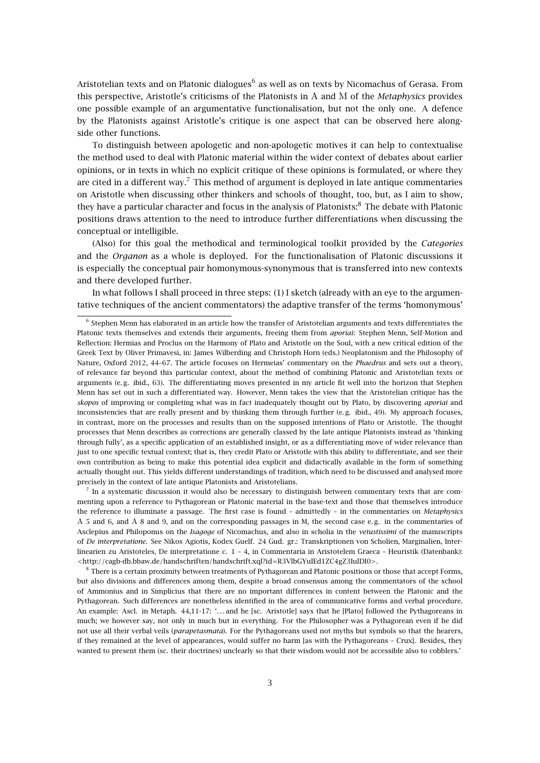Aristotelian texts and on Platonic dialogues $^6$  as well as on texts by Nicomachus of Gerasa. From this perspective, Aristotle's criticisms of the Platonists in Α and Μ of the *Metaphysics* provides one possible example of an argumentative functionalisation, but not the only one. A defence by the Platonists against Aristotle's critique is one aspect that can be observed here alongside other functions.

To distinguish between apologetic and non-apologetic motives it can help to contextualise the method used to deal with Platonic material within the wider context of debates about earlier opinions, or in texts in which no explicit critique of these opinions is formulated, or where they are cited in a different way.<sup>7</sup> This method of argument is deployed in late antique commentaries on Aristotle when discussing other thinkers and schools of thought, too, but, as I aim to show, they have a particular character and focus in the analysis of Platonists:<sup>8</sup> The debate with Platonic positions draws attention to the need to introduce further differentiations when discussing the conceptual or intelligible.

(Also) for this goal the methodical and terminological toolkit provided by the *Categories* and the *Organon* as a whole is deployed. For the functionalisation of Platonic discussions it is especially the conceptual pair homonymous-synonymous that is transferred into new contexts and there developed further.

In what follows I shall proceed in three steps: (1) I sketch (already with an eye to the argumentative techniques of the ancient commentators) the adaptive transfer of the terms 'homonymous'

 $^7$  In a systematic discussion it would also be necessary to distinguish between commentary texts that are commenting upon a reference to Pythagorean or Platonic material in the base-text and those that themselves introduce the reference to illuminate a passage. The first case is found – admittedly – in the commentaries on *Metaphysics* Α 5 and 6, and Α 8 and 9, and on the corresponding passages in M, the second case e. g. in the commentaries of Asclepius and Philoponus on the *Isagoge* of Nicomachus, and also in scholia in the *vetustissimi* of the manuscripts of *De interpretatione*. See Nikos Agiotis, Kodex Guelf. 24 Gud. gr.: Transkriptionen von Scholien, Marginalien, Interlinearien zu Aristoteles, De interpretatione c. 1 – 4, in Commentaria in Aristotelem Graeca – Heuristik (Datenbank): <http://cagb-db.bbaw.de/handschriften/handschrift.xql?id=R3VlbGYuIEd1ZC4gZ3IuIDI0>.

 $^8$  There is a certain proximity between treatments of Pythagorean and Platonic positions or those that accept Forms, but also divisions and differences among them, despite a broad consensus among the commentators of the school of Ammonius and in Simplicius that there are no important differences in content between the Platonic and the Pythagorean. Such differences are nonetheless identified in the area of communicative forms and verbal procedure. An example: Ascl. in Metaph. 44,11-17: '. . . and he [sc. Aristotle] says that he [Plato] followed the Pythagoreans in much; we however say, not only in much but in everything. For the Philosopher was a Pythagorean even if he did not use all their verbal veils (*parapetasmata*). For the Pythagoreans used not myths but symbols so that the hearers, if they remained at the level of appearances, would suffer no harm [as with the Pythagoreans – Crux]. Besides, they wanted to present them (sc. their doctrines) unclearly so that their wisdom would not be accessible also to cobblers.'

<sup>6</sup> Stephen Menn has elaborated in an article how the transfer of Aristotelian arguments and texts differentiates the Platonic texts themselves and extends their arguments, freeing them from *aporiai*: Stephen Menn, Self-Motion and Reflection: Hermias and Proclus on the Harmony of Plato and Aristotle on the Soul, with a new critical edition of the Greek Text by Oliver Primavesi, in: James Wilberding and Christoph Horn (eds.) Neoplatonism and the Philosophy of Nature, Oxford 2012, 44–67. The article focuses on Hermeias' commentary on the *Phaedrus* and sets out a theory, of relevance far beyond this particular context, about the method of combining Platonic and Aristotelian texts or arguments (e. g. ibid., 63). The differentiating moves presented in my article fit well into the horizon that Stephen Menn has set out in such a differentiated way. However, Menn takes the view that the Aristotelian critique has the *skopos* of improving or completing what was in fact inadequately thought out by Plato, by discovering *aporiai* and inconsistencies that are really present and by thinking them through further (e. g. ibid., 49). My approach focuses, in contrast, more on the processes and results than on the supposed intentions of Plato or Aristotle. The thought processes that Menn describes as corrections are generally classed by the late antique Platonists instead as 'thinking through fully', as a specific application of an established insight, or as a differentiating move of wider relevance than just to one specific textual context; that is, they credit Plato or Aristotle with this ability to differentiate, and see their own contribution as being to make this potential idea explicit and didactically available in the form of something actually thought out. This yields different understandings of tradition, which need to be discussed and analysed more precisely in the context of late antique Platonists and Aristotelians.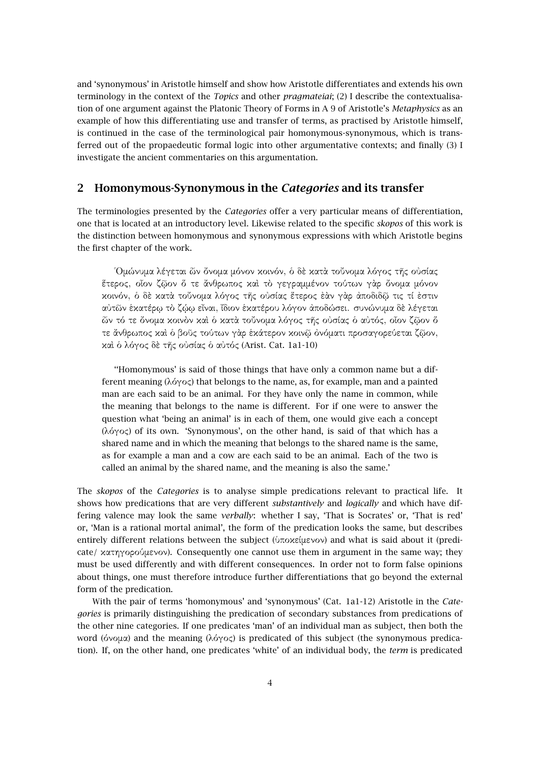and 'synonymous' in Aristotle himself and show how Aristotle differentiates and extends his own terminology in the context of the *Topics* and other *pragmateiai*; (2) I describe the contextualisation of one argument against the Platonic Theory of Forms in A 9 of Aristotle's *Metaphysics* as an example of how this differentiating use and transfer of terms, as practised by Aristotle himself, is continued in the case of the terminological pair homonymous-synonymous, which is transferred out of the propaedeutic formal logic into other argumentative contexts; and finally (3) I investigate the ancient commentaries on this argumentation.

# **2 Homonymous-Synonymous in the** *Categories* **and its transfer**

The terminologies presented by the *Categories* offer a very particular means of differentiation, one that is located at an introductory level. Likewise related to the specific *skopos* of this work is the distinction between homonymous and synonymous expressions with which Aristotle begins the first chapter of the work.

῾Οµώνυµα λέγεται ὧν ὄνοµα µόνον κοινόν, ὁ δὲ κατὰ τοὔνοµα λόγος τῆς οὐσίας ἕτερος, οἷον ζῷον ὅ τε ἄνθρωπος καὶ τὸ γεγραµµένον τούτων γὰρ ὄνοµα µόνον κοινόν, ὁ δὲ κατὰ τοὔνοµα λόγος τῆς οὐσίας ἕτερος ἐὰν γὰρ ἀποδιδῷ τις τί ἐστιν αὐτῶν ἑκατέρῳ τὸ ζῴῳ εἶναι, ἴδιον ἑκατέρου λόγον ἀποδώσει. συνώνυµα δὲ λέγεται ὧν τό τε ὄνοµα κοινὸν καὶ ὁ κατὰ τοὔνοµα λόγος τῆς οὐσίας ὁ αὐτός, οἷον ζῷον ὅ τε ἄνθρωπος καὶ ὁ βοῦς τούτων γὰρ ἑκάτερον κοινῷ ὀνόµατι προσαγορεύεται ζῷον, καὶ ὁ λόγος δὲ τῆς οὐσίας ὁ αὐτός (Arist. Cat. 1a1-10)

''Homonymous' is said of those things that have only a common name but a different meaning (λόγος) that belongs to the name, as, for example, man and a painted man are each said to be an animal. For they have only the name in common, while the meaning that belongs to the name is different. For if one were to answer the question what 'being an animal' is in each of them, one would give each a concept (λόγος) of its own. 'Synonymous', on the other hand, is said of that which has a shared name and in which the meaning that belongs to the shared name is the same, as for example a man and a cow are each said to be an animal. Each of the two is called an animal by the shared name, and the meaning is also the same.'

The *skopos* of the *Categories* is to analyse simple predications relevant to practical life. It shows how predications that are very different *substantively* and *logically* and which have differing valence may look the same *verbally*: whether I say, 'That is Socrates' or, 'That is red' or, 'Man is a rational mortal animal', the form of the predication looks the same, but describes entirely different relations between the subject (ὑποκείµενον) and what is said about it (predicate/ *κατηγορούμενον*). Consequently one cannot use them in argument in the same way; they must be used differently and with different consequences. In order not to form false opinions about things, one must therefore introduce further differentiations that go beyond the external form of the predication.

With the pair of terms 'homonymous' and 'synonymous' (Cat. 1a1-12) Aristotle in the *Categories* is primarily distinguishing the predication of secondary substances from predications of the other nine categories. If one predicates 'man' of an individual man as subject, then both the word (όνοµα) and the meaning (λόγος) is predicated of this subject (the synonymous predication). If, on the other hand, one predicates 'white' of an individual body, the *term* is predicated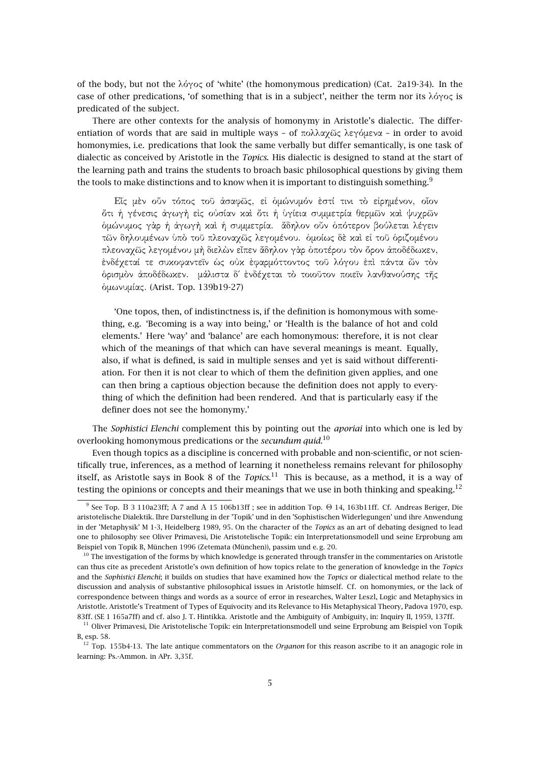of the body, but not the λόγος of 'white' (the homonymous predication) (Cat. 2a19-34). In the case of other predications, 'of something that is in a subject', neither the term nor its  $\lambda \acute{o} \gamma$  is predicated of the subject.

There are other contexts for the analysis of homonymy in Aristotle's dialectic. The differentiation of words that are said in multiple ways – of πολλαχῶς λεγόµενα – in order to avoid homonymies, i.e. predications that look the same verbally but differ semantically, is one task of dialectic as conceived by Aristotle in the *Topics*. His dialectic is designed to stand at the start of the learning path and trains the students to broach basic philosophical questions by giving them the tools to make distinctions and to know when it is important to distinguish something.<sup>9</sup>

Εἷς µὲν οὖν τόπος τοῦ ἀσαφῶς, εἰ ὁµώνυµόν ἐστί τινι τὸ εἰρηµένον, οἷον ὅτι ἡ γένεσις ἀγωγὴ εἰς οὐσίαν καὶ ὅτι ἡ ὑγίεια συµµετρία θερµῶν καὶ ψυχρῶν ὁµώνυµος γὰρ ἡ ἀγωγὴ καὶ ἡ συµµετρία. ἄδηλον οὖν ὁπότερον βούλεται λέγειν τῶν δηλουµένων ὑπὸ τοῦ πλεοναχῶς λεγοµένου. ὁµοίως δὲ καὶ εἰ τοῦ ὁριζοµένου πλεοναχῶς λεγοµένου µὴ διελὼν εἶπεν ἄδηλον γὰρ ὁποτέρου τὸν ὅρον ἀποδέδωκεν, ἐνδέχεταί τε συκοφαντεῖν ὡς οὐκ ἐφαρµόττοντος τοῦ λόγου ἐπὶ πάντα ὧν τὸν ὁρισµὸν ἀποδέδωκεν. µάλιστα δ΄ ἐνδέχεται τὸ τοιοῦτον ποιεῖν λανθανούσης τῆς ὁµωνυµίας. (Arist. Top. 139b19-27)

'One topos, then, of indistinctness is, if the definition is homonymous with something, e.g. 'Becoming is a way into being,' or 'Health is the balance of hot and cold elements.' Here 'way' and 'balance' are each homonymous: therefore, it is not clear which of the meanings of that which can have several meanings is meant. Equally, also, if what is defined, is said in multiple senses and yet is said without differentiation. For then it is not clear to which of them the definition given applies, and one can then bring a captious objection because the definition does not apply to everything of which the definition had been rendered. And that is particularly easy if the definer does not see the homonymy.'

The *Sophistici Elenchi* complement this by pointing out the *aporiai* into which one is led by overlooking homonymous predications or the *secundum quid*. 10

Even though topics as a discipline is concerned with probable and non-scientific, or not scientifically true, inferences, as a method of learning it nonetheless remains relevant for philosophy itself, as Aristotle says in Book 8 of the *Topics*. <sup>11</sup> This is because, as a method, it is a way of testing the opinions or concepts and their meanings that we use in both thinking and speaking.<sup>12</sup>

 $^9$  See Top. B 3 110a23ff; A 7 and A 15 106b13ff ; see in addition Top.  $\Theta$  14, 163b11ff. Cf. Andreas Beriger, Die aristotelische Dialektik. Ihre Darstellung in der 'Topik' und in den 'Sophistischen Widerlegungen' und ihre Anwendung in der 'Metaphysik' M 1-3, Heidelberg 1989, 95. On the character of the *Topics* as an art of debating designed to lead one to philosophy see Oliver Primavesi, Die Aristotelische Topik: ein Interpretationsmodell und seine Erprobung am Beispiel von Topik B, München 1996 (Zetemata (München)), passim und e. g. 20.

 $10$  The investigation of the forms by which knowledge is generated through transfer in the commentaries on Aristotle can thus cite as precedent Aristotle's own definition of how topics relate to the generation of knowledge in the *Topics* and the *Sophistici Elenchi*; it builds on studies that have examined how the *Topics* or dialectical method relate to the discussion and analysis of substantive philosophical issues in Aristotle himself. Cf. on homonymies, or the lack of correspondence between things and words as a source of error in researches, Walter Leszl, Logic and Metaphysics in Aristotle. Aristotle's Treatment of Types of Equivocity and its Relevance to His Metaphysical Theory, Padova 1970, esp. 83ff. (SE 1 165a7ff) and cf. also J. T. Hintikka. Aristotle and the Ambiguity of Ambiguity, in: Inquiry II, 1959, 137ff.

<sup>&</sup>lt;sup>11</sup> Oliver Primavesi, Die Aristotelische Topik: ein Interpretationsmodell und seine Erprobung am Beispiel von Topik B, esp. 58.

<sup>&</sup>lt;sup>12</sup> Top. 155b4-13. The late antique commentators on the *Organon* for this reason ascribe to it an anagogic role in learning: Ps.-Ammon. in APr. 3,35f.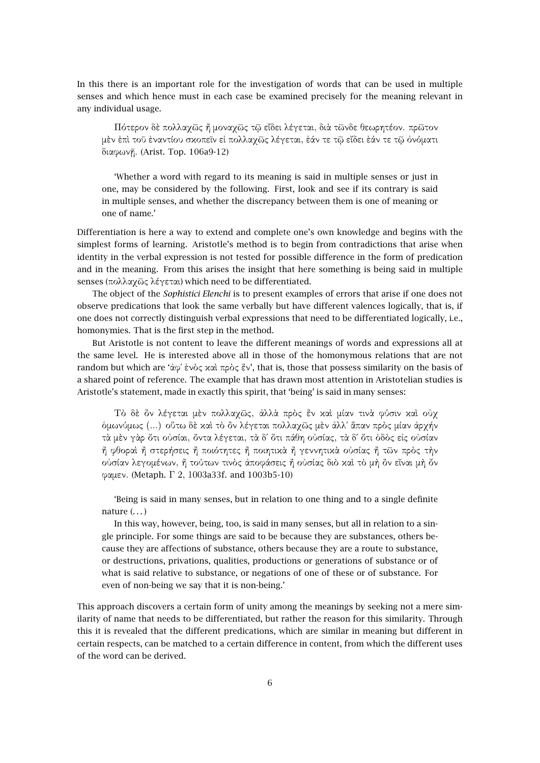In this there is an important role for the investigation of words that can be used in multiple senses and which hence must in each case be examined precisely for the meaning relevant in any individual usage.

Πότερον δὲ πολλαχῶς ἢ µοναχῶς τῷ εἴδει λέγεται, διὰ τῶνδε θεωρητέον. πρῶτον µὲν ἐπὶ τοῦ ἐναντίου σκοπεῖν εἰ πολλαχῶς λέγεται, ἐάν τε τῷ εἴδει ἐάν τε τῷ ὀνόµατι διαφωνῇ. (Arist. Top. 106a9-12)

'Whether a word with regard to its meaning is said in multiple senses or just in one, may be considered by the following. First, look and see if its contrary is said in multiple senses, and whether the discrepancy between them is one of meaning or one of name.'

Differentiation is here a way to extend and complete one's own knowledge and begins with the simplest forms of learning. Aristotle's method is to begin from contradictions that arise when identity in the verbal expression is not tested for possible difference in the form of predication and in the meaning. From this arises the insight that here something is being said in multiple senses (πολλαχῶς λέγεται) which need to be differentiated.

The object of the *Sophistici Elenchi* is to present examples of errors that arise if one does not observe predications that look the same verbally but have different valences logically, that is, if one does not correctly distinguish verbal expressions that need to be differentiated logically, i.e., homonymies. That is the first step in the method.

But Aristotle is not content to leave the different meanings of words and expressions all at the same level. He is interested above all in those of the homonymous relations that are not random but which are 'ἀφ΄ ἑνὸς καὶ πρὸς ἕν', that is, those that possess similarity on the basis of a shared point of reference. The example that has drawn most attention in Aristotelian studies is Aristotle's statement, made in exactly this spirit, that 'being' is said in many senses:

Τὸ δὲ ὂν λέγεται µὲν πολλαχῶς, ἀλλὰ πρὸς ἓν καὶ µίαν τινὰ φύσιν καὶ οὐχ ὁµωνύµως (...) οὕτω δὲ καὶ τὸ ὂν λέγεται πολλαχῶς µὲν ἀλλ΄ ἅπαν πρὸς µίαν ἀρχήν τὰ µὲν γὰρ ὅτι οὐσίαι, ὄντα λέγεται, τὰ δ΄ ὅτι πάθη οὐσίας, τὰ δ΄ ὅτι ὁδὸς εἰς οὐσίαν ἢ φθοραὶ ἢ στερήσεις ἢ ποιότητες ἢ ποιητικὰ ἢ γεννητικὰ οὐσίας ἢ τῶν πρὸς τὴν οὐσίαν λεγοµένων, ἢ τούτων τινὸς ἀποφάσεις ἢ οὐσίας διὸ καὶ τὸ µὴ ὂν εἶναι µὴ ὄν φαµεν. (Metaph. Γ 2, 1003a33f. and 1003b5-10)

'Being is said in many senses, but in relation to one thing and to a single definite nature  $($ ... $)$ 

In this way, however, being, too, is said in many senses, but all in relation to a single principle. For some things are said to be because they are substances, others because they are affections of substance, others because they are a route to substance, or destructions, privations, qualities, productions or generations of substance or of what is said relative to substance, or negations of one of these or of substance. For even of non-being we say that it is non-being.'

This approach discovers a certain form of unity among the meanings by seeking not a mere similarity of name that needs to be differentiated, but rather the reason for this similarity. Through this it is revealed that the different predications, which are similar in meaning but different in certain respects, can be matched to a certain difference in content, from which the different uses of the word can be derived.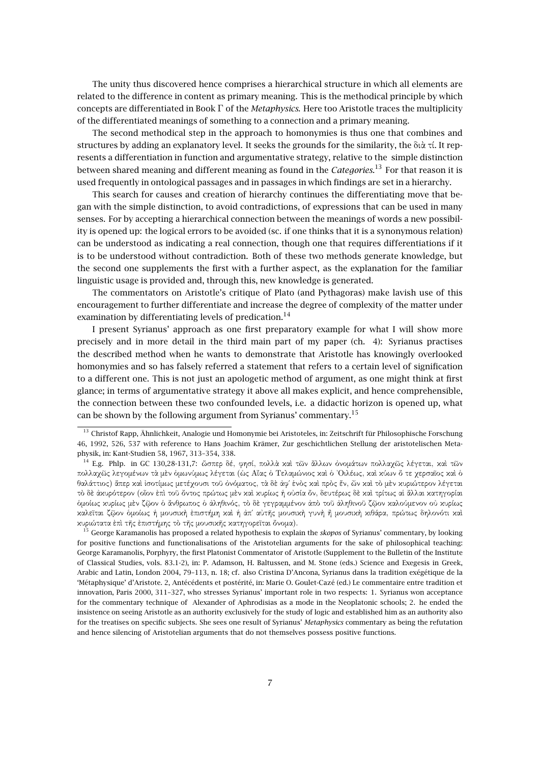The unity thus discovered hence comprises a hierarchical structure in which all elements are related to the difference in content as primary meaning. This is the methodical principle by which concepts are differentiated in Book Γ of the *Metaphysics*. Here too Aristotle traces the multiplicity of the differentiated meanings of something to a connection and a primary meaning.

The second methodical step in the approach to homonymies is thus one that combines and structures by adding an explanatory level. It seeks the grounds for the similarity, the διὰ τί. It represents a differentiation in function and argumentative strategy, relative to the simple distinction between shared meaning and different meaning as found in the *Categories*. <sup>13</sup> For that reason it is used frequently in ontological passages and in passages in which findings are set in a hierarchy.

This search for causes and creation of hierarchy continues the differentiating move that began with the simple distinction, to avoid contradictions, of expressions that can be used in many senses. For by accepting a hierarchical connection between the meanings of words a new possibility is opened up: the logical errors to be avoided (sc. if one thinks that it is a synonymous relation) can be understood as indicating a real connection, though one that requires differentiations if it is to be understood without contradiction. Both of these two methods generate knowledge, but the second one supplements the first with a further aspect, as the explanation for the familiar linguistic usage is provided and, through this, new knowledge is generated.

The commentators on Aristotle's critique of Plato (and Pythagoras) make lavish use of this encouragement to further differentiate and increase the degree of complexity of the matter under examination by differentiating levels of predication.<sup>14</sup>

I present Syrianus' approach as one first preparatory example for what I will show more precisely and in more detail in the third main part of my paper (ch. 4): Syrianus practises the described method when he wants to demonstrate that Aristotle has knowingly overlooked homonymies and so has falsely referred a statement that refers to a certain level of signification to a different one. This is not just an apologetic method of argument, as one might think at first glance; in terms of argumentative strategy it above all makes explicit, and hence comprehensible, the connection between these two confounded levels, i.e. a didactic horizon is opened up, what can be shown by the following argument from Syrianus' commentary.<sup>15</sup>

<sup>&</sup>lt;sup>13</sup> Christof Rapp, Ähnlichkeit, Analogie und Homonymie bei Aristoteles, in: Zeitschrift für Philosophische Forschung 46, 1992, 526, 537 with reference to Hans Joachim Krämer, Zur geschichtlichen Stellung der aristotelischen Metaphysik, in: Kant-Studien 58, 1967, 313–354, 338.

<sup>14</sup> E.g. Phlp. in GC 130,28-131,7: ὥσπερ δέ, φησί, πολλὰ καὶ τῶν ἄλλων ὀνοµάτων πολλαχῶς λέγεται, καὶ τῶν πολλαχῶς λεγοµένων τὰ µὲν ὁµωνύµως λέγεται (ὡς Αἴας ὁ Τελαµώνιος καὶ ὁ ᾿Οιλέως, καὶ κύων ὅ τε χερσαῖος καὶ ὁ θαλάττιος) ἅπερ καὶ ἰσοτίµως µετέχουσι τοῦ ὀνόµατος, τὰ δὲ ἀφ΄ ἑνὸς καὶ πρὸς ἕν, ὧν καὶ τὸ µὲν κυριώτερον λέγεται τὸ δὲ ἀκυρότερον (οἷον ἐπὶ τοῦ ὄντος πρώτως µὲν καὶ κυρίως ἡ οὐσία ὄν, δευτέρως δὲ καὶ τρίτως αἱ ἄλλαι κατηγορίαι ὁµοίως κυρίως µὲν ζῷον ὁ ἄνθρωπος ὁ ἀληθινός, τὸ δὲ γεγραµµένον ἀπὸ τοῦ ἀληθινοῦ ζῷον καλούµενον οὐ κυρίως καλεῖται ζῷον ὁµοίως ἡ µουσικὴ ἐπιστήµη καὶ ἡ ἀπ΄ αὐτῆς µουσικὴ γυνὴ ἢ µουσικὴ κιθάρα, πρώτως δηλονότι καὶ κυριώτατα ἐπὶ τῆς ἐπιστήµης τὸ τῆς µουσικῆς κατηγορεῖται ὄνοµα).

<sup>15</sup> George Karamanolis has proposed a related hypothesis to explain the *skopos* of Syrianus' commentary, by looking for positive functions and functionalisations of the Aristotelian arguments for the sake of philosophical teaching: George Karamanolis, Porphyry, the first Platonist Commentator of Aristotle (Supplement to the Bulletin of the Institute of Classical Studies, vols. 83.1-2), in: P. Adamson, H. Baltussen, and M. Stone (eds.) Science and Exegesis in Greek, Arabic and Latin, London 2004, 79–113, n. 18; cf. also Cristina D'Ancona, Syrianus dans la tradition exégétique de la 'Métaphysique' d'Aristote. 2, Antécédents et postérité, in: Marie O. Goulet-Cazé (ed.) Le commentaire entre tradition et innovation, Paris 2000, 311–327, who stresses Syrianus' important role in two respects: 1. Syrianus won acceptance for the commentary technique of Alexander of Aphrodisias as a mode in the Neoplatonic schools; 2. he ended the insistence on seeing Aristotle as an authority exclusively for the study of logic and established him as an authority also for the treatises on specific subjects. She sees one result of Syrianus' *Metaphysics* commentary as being the refutation and hence silencing of Aristotelian arguments that do not themselves possess positive functions.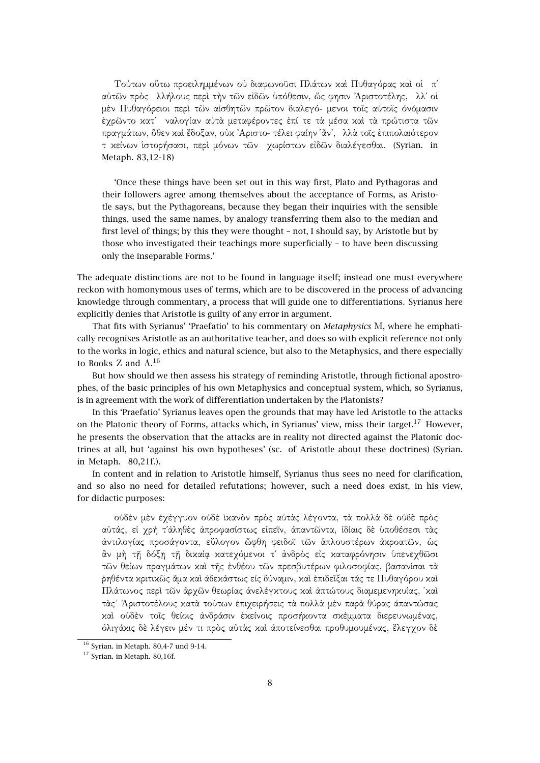Τούτων οὕτω προειληµµένων οὐ διαφωνοῦσι Πλάτων καὶ Πυθαγόρας καὶ οἱ π΄ αὐτῶν πρὸς λλήλους περὶ τὴν τῶν εἰδῶν ὑπόθεσιν, ὥς φησιν ᾿Αριστοτέλης, λλ΄ οἱ µὲν Πυθαγόρειοι περὶ τῶν αἰσθητῶν πρῶτον διαλεγό- µενοι τοῖς αὐτοῖς ὀνόµασιν ἐχρῶντο κατ΄ ναλογίαν αὐτὰ µεταφέροντες ἐπί τε τὰ µέσα καὶ τὰ πρώτιστα τῶν πραγµάτων, ὅθεν καὶ ἔδοξαν, οὐκ ᾿Αριστο- τέλει φαίην ῾ἄν᾿, λλὰ τοῖς ἐπιπολαιότερον τ κείνων ἱστορήσασι, περὶ µόνων τῶν χωρίστων εἰδῶν διαλέγεσθαι. (Syrian. in Metaph. 83,12-18)

'Once these things have been set out in this way first, Plato and Pythagoras and their followers agree among themselves about the acceptance of Forms, as Aristotle says, but the Pythagoreans, because they began their inquiries with the sensible things, used the same names, by analogy transferring them also to the median and first level of things; by this they were thought – not, I should say, by Aristotle but by those who investigated their teachings more superficially – to have been discussing only the inseparable Forms.'

The adequate distinctions are not to be found in language itself; instead one must everywhere reckon with homonymous uses of terms, which are to be discovered in the process of advancing knowledge through commentary, a process that will guide one to differentiations. Syrianus here explicitly denies that Aristotle is guilty of any error in argument.

That fits with Syrianus' 'Praefatio' to his commentary on *Metaphysics* Μ, where he emphatically recognises Aristotle as an authoritative teacher, and does so with explicit reference not only to the works in logic, ethics and natural science, but also to the Metaphysics, and there especially to Books Z and  $\Lambda$ .<sup>16</sup>

But how should we then assess his strategy of reminding Aristotle, through fictional apostrophes, of the basic principles of his own Metaphysics and conceptual system, which, so Syrianus, is in agreement with the work of differentiation undertaken by the Platonists?

In this 'Praefatio' Syrianus leaves open the grounds that may have led Aristotle to the attacks on the Platonic theory of Forms, attacks which, in Syrianus' view, miss their target.<sup>17</sup> However, he presents the observation that the attacks are in reality not directed against the Platonic doctrines at all, but 'against his own hypotheses' (sc. of Aristotle about these doctrines) (Syrian. in Metaph. 80,21f.).

In content and in relation to Aristotle himself, Syrianus thus sees no need for clarification, and so also no need for detailed refutations; however, such a need does exist, in his view, for didactic purposes:

οὐδὲν µὲν ἐχέγγυον οὐδὲ ἱκανὸν πρὸς αὐτὰς λέγοντα, τὰ πολλὰ δὲ οὐδὲ πρὸς αὐτάς, εἰ χρὴ τ΄ἀληθὲς ἀπροφασίστως εἰπεῖν, ἀπαντῶντα, ἰδίαις δὲ ὑποθέσεσι τὰς ἀντιλογίας προσάγοντα, εὔλογον ὤφθη φειδοῖ τῶν ἁπλουστέρων ἀκροατῶν, ὡς ἂν µὴ τῇ δόξῃ τῇ δικαίᾳ κατεχόµενοι τ΄ ἀνδρὸς εἰς καταφρόνησιν ὑπενεχθῶσι τῶν θείων πραγµάτων καὶ τῆς ἐνθέου τῶν πρεσβυτέρων φιλοσοφίας, βασανίσαι τὰ ῥηθέντα κριτικῶς ἅµα καὶ ἀδεκάστως εἰς δύναµιν, καὶ ἐπιδεῖξαι τάς τε Πυθαγόρου καὶ Πλάτωνος περὶ τῶν ἀρχῶν θεωρίας ἀνελέγκτους καὶ ἀπτώτους διαμεμενηκυίας, υκαὶ τὰς᾿ ᾿Αριστοτέλους κατὰ τούτων ἐπιχειρήσεις τὰ πολλὰ µὲν παρὰ θύρας ἀπαντώσας καὶ οὐδὲν τοῖς θείοις ἀνδράσιν ἐκείνοις προσήκοντα σκέµµατα διερευνωµένας, ὀλιγάκις δὲ λέγειν µέν τι πρὸς αὐτὰς καὶ ἀποτείνεσθαι προθυµουµένας, ἔλεγχον δὲ

 $16$  Syrian. in Metaph. 80,4-7 und 9-14.

<sup>&</sup>lt;sup>17</sup> Syrian. in Metaph. 80,16f.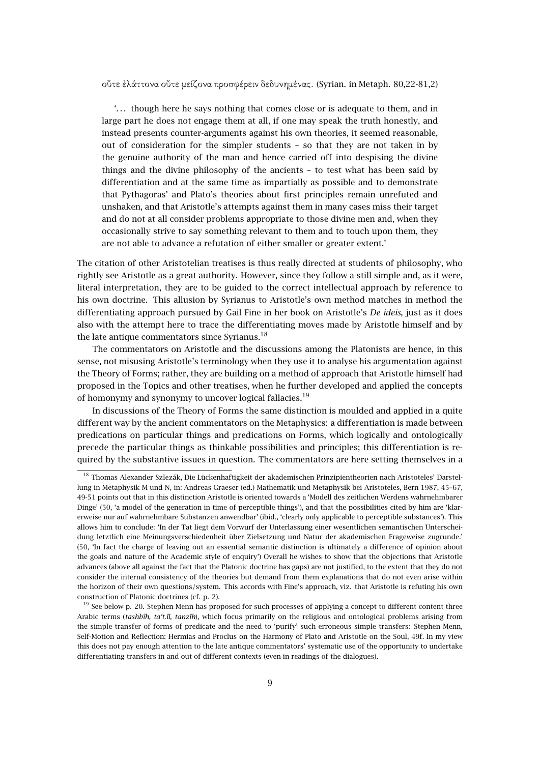### οὔτε ἐλάττονα οὔτε µείζονα προσφέρειν δεδυνηµένας. (Syrian. in Metaph. 80,22-81,2)

'. . . though here he says nothing that comes close or is adequate to them, and in large part he does not engage them at all, if one may speak the truth honestly, and instead presents counter-arguments against his own theories, it seemed reasonable, out of consideration for the simpler students – so that they are not taken in by the genuine authority of the man and hence carried off into despising the divine things and the divine philosophy of the ancients – to test what has been said by differentiation and at the same time as impartially as possible and to demonstrate that Pythagoras' and Plato's theories about first principles remain unrefuted and unshaken, and that Aristotle's attempts against them in many cases miss their target and do not at all consider problems appropriate to those divine men and, when they occasionally strive to say something relevant to them and to touch upon them, they are not able to advance a refutation of either smaller or greater extent.'

The citation of other Aristotelian treatises is thus really directed at students of philosophy, who rightly see Aristotle as a great authority. However, since they follow a still simple and, as it were, literal interpretation, they are to be guided to the correct intellectual approach by reference to his own doctrine. This allusion by Syrianus to Aristotle's own method matches in method the differentiating approach pursued by Gail Fine in her book on Aristotle's *De ideis*, just as it does also with the attempt here to trace the differentiating moves made by Aristotle himself and by the late antique commentators since Syrianus.<sup>18</sup>

The commentators on Aristotle and the discussions among the Platonists are hence, in this sense, not misusing Aristotle's terminology when they use it to analyse his argumentation against the Theory of Forms; rather, they are building on a method of approach that Aristotle himself had proposed in the Topics and other treatises, when he further developed and applied the concepts of homonymy and synonymy to uncover logical fallacies.<sup>19</sup>

In discussions of the Theory of Forms the same distinction is moulded and applied in a quite different way by the ancient commentators on the Metaphysics: a differentiation is made between predications on particular things and predications on Forms, which logically and ontologically precede the particular things as thinkable possibilities and principles; this differentiation is required by the substantive issues in question. The commentators are here setting themselves in a

 $^{18}$  Thomas Alexander Szlezák, Die Lückenhaftigkeit der akademischen Prinzipientheorien nach Aristoteles' Darstellung in Metaphysik M und N, in: Andreas Graeser (ed.) Mathematik und Metaphysik bei Aristoteles, Bern 1987, 45–67, 49-51 points out that in this distinction Aristotle is oriented towards a 'Modell des zeitlichen Werdens wahrnehmbarer Dinge' (50, 'a model of the generation in time of perceptible things'), and that the possibilities cited by him are 'klarerweise nur auf wahrnehmbare Substanzen anwendbar' (ibid., 'clearly only applicable to perceptible substances'). This allows him to conclude: 'In der Tat liegt dem Vorwurf der Unterlassung einer wesentlichen semantischen Unterscheidung letztlich eine Meinungsverschiedenheit über Zielsetzung und Natur der akademischen Frageweise zugrunde.' (50, 'In fact the charge of leaving out an essential semantic distinction is ultimately a difference of opinion about the goals and nature of the Academic style of enquiry') Overall he wishes to show that the objections that Aristotle advances (above all against the fact that the Platonic doctrine has gaps) are not justified, to the extent that they do not consider the internal consistency of the theories but demand from them explanations that do not even arise within the horizon of their own questions/system. This accords with Fine's approach, viz. that Aristotle is refuting his own construction of Platonic doctrines (cf. p. 2).

 $19$  See below p. 20. Stephen Menn has proposed for such processes of applying a concept to different content three Arabic terms (*tashbîh, ta't.îl, tanzîh*), which focus primarily on the religious and ontological problems arising from the simple transfer of forms of predicate and the need to 'purify' such erroneous simple transfers: Stephen Menn, Self-Motion and Reflection: Hermias and Proclus on the Harmony of Plato and Aristotle on the Soul, 49f. In my view this does not pay enough attention to the late antique commentators' systematic use of the opportunity to undertake differentiating transfers in and out of different contexts (even in readings of the dialogues).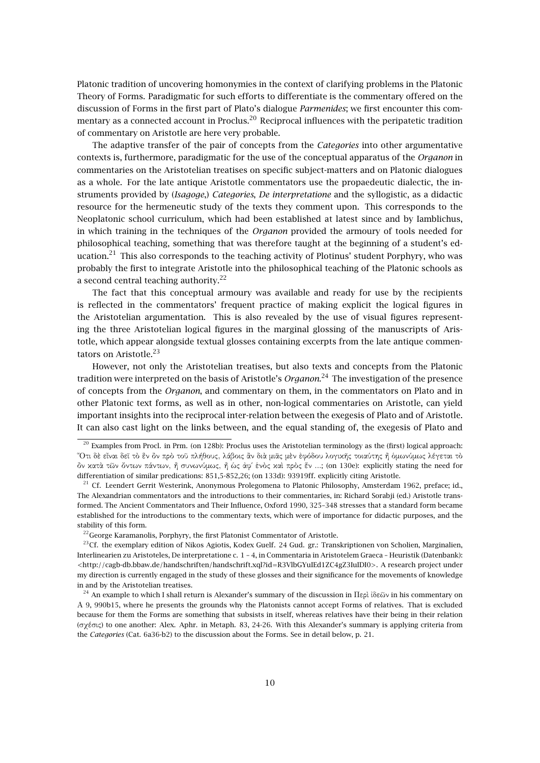Platonic tradition of uncovering homonymies in the context of clarifying problems in the Platonic Theory of Forms. Paradigmatic for such efforts to differentiate is the commentary offered on the discussion of Forms in the first part of Plato's dialogue *Parmenides*; we first encounter this commentary as a connected account in Proclus.<sup>20</sup> Reciprocal influences with the peripatetic tradition of commentary on Aristotle are here very probable.

The adaptive transfer of the pair of concepts from the *Categories* into other argumentative contexts is, furthermore, paradigmatic for the use of the conceptual apparatus of the *Organon* in commentaries on the Aristotelian treatises on specific subject-matters and on Platonic dialogues as a whole. For the late antique Aristotle commentators use the propaedeutic dialectic, the instruments provided by (*Isagoge*,) *Categories*, *De interpretatione* and the syllogistic, as a didactic resource for the hermeneutic study of the texts they comment upon. This corresponds to the Neoplatonic school curriculum, which had been established at latest since and by Iamblichus, in which training in the techniques of the *Organon* provided the armoury of tools needed for philosophical teaching, something that was therefore taught at the beginning of a student's education.<sup>21</sup> This also corresponds to the teaching activity of Plotinus' student Porphyry, who was probably the first to integrate Aristotle into the philosophical teaching of the Platonic schools as a second central teaching authority.<sup>22</sup>

The fact that this conceptual armoury was available and ready for use by the recipients is reflected in the commentators' frequent practice of making explicit the logical figures in the Aristotelian argumentation. This is also revealed by the use of visual figures representing the three Aristotelian logical figures in the marginal glossing of the manuscripts of Aristotle, which appear alongside textual glosses containing excerpts from the late antique commentators on Aristotle.<sup>23</sup>

However, not only the Aristotelian treatises, but also texts and concepts from the Platonic tradition were interpreted on the basis of Aristotle's *Organon*. <sup>24</sup> The investigation of the presence of concepts from the *Organon*, and commentary on them, in the commentators on Plato and in other Platonic text forms, as well as in other, non-logical commentaries on Aristotle, can yield important insights into the reciprocal inter-relation between the exegesis of Plato and of Aristotle. It can also cast light on the links between, and the equal standing of, the exegesis of Plato and

 $^{20}$  Examples from Procl. in Prm. (on 128b): Proclus uses the Aristotelian terminology as the (first) logical approach: ῞Οτι δὲ εἶναι δεῖ τὸ ἓν ὂν πρὸ τοῦ πλήθους, λάβοις ἂν διὰ µιᾶς µὲν ἐφόδου λογικῆς τοιαύτης ἢ ὁµωνύµως λέγεται τὸ ὂν κατὰ τῶν ὄντων πάντων, ἢ συνωνύµως, ἢ ὡς ἀφ΄ ἑνὸς καὶ πρὸς ἕν ...; (on 130e): explicitly stating the need for differentiation of similar predications: 851,5-852,26; (on 133d): 93919ff. explicitly citing Aristotle.

<sup>&</sup>lt;sup>21</sup> Cf. Leendert Gerrit Westerink, Anonymous Prolegomena to Platonic Philosophy, Amsterdam 1962, preface; id., The Alexandrian commentators and the introductions to their commentaries, in: Richard Sorabji (ed.) Aristotle transformed. The Ancient Commentators and Their Influence, Oxford 1990, 325–348 stresses that a standard form became established for the introductions to the commentary texts, which were of importance for didactic purposes, and the stability of this form.

<sup>&</sup>lt;sup>22</sup> George Karamanolis, Porphyry, the first Platonist Commentator of Aristotle.

<sup>&</sup>lt;sup>23</sup>Cf. the exemplary edition of Nikos Agiotis, Kodex Guelf. 24 Gud. gr.: Transkriptionen von Scholien, Marginalien, Interlinearien zu Aristoteles, De interpretatione c. 1 – 4, in Commentaria in Aristotelem Graeca – Heuristik (Datenbank): <http://cagb-db.bbaw.de/handschriften/handschrift.xql?id=R3VlbGYuIEd1ZC4gZ3IuIDI0>. A research project under my direction is currently engaged in the study of these glosses and their significance for the movements of knowledge in and by the Aristotelian treatises.

<sup>&</sup>lt;sup>24</sup> An example to which I shall return is Alexander's summary of the discussion in Περὶ ἰδεῶν in his commentary on Α 9, 990b15, where he presents the grounds why the Platonists cannot accept Forms of relatives. That is excluded because for them the Forms are something that subsists in itself, whereas relatives have their being in their relation (σχέσις) to one another: Alex. Aphr. in Metaph. 83, 24-26. With this Alexander's summary is applying criteria from the *Categories* (Cat. 6a36-b2) to the discussion about the Forms. See in detail below, p. 21.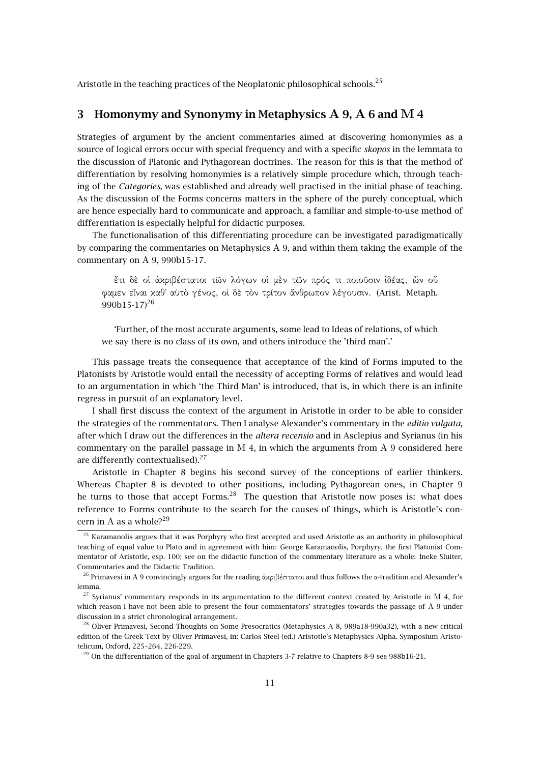Aristotle in the teaching practices of the Neoplatonic philosophical schools.<sup>25</sup>

# **3 Homonymy and Synonymy in Metaphysics Α 9, Α 6 and Μ 4**

Strategies of argument by the ancient commentaries aimed at discovering homonymies as a source of logical errors occur with special frequency and with a specific *skopos* in the lemmata to the discussion of Platonic and Pythagorean doctrines. The reason for this is that the method of differentiation by resolving homonymies is a relatively simple procedure which, through teaching of the *Categories*, was established and already well practised in the initial phase of teaching. As the discussion of the Forms concerns matters in the sphere of the purely conceptual, which are hence especially hard to communicate and approach, a familiar and simple-to-use method of differentiation is especially helpful for didactic purposes.

The functionalisation of this differentiating procedure can be investigated paradigmatically by comparing the commentaries on Metaphysics Α 9, and within them taking the example of the commentary on Α 9, 990b15-17.

ἔτι δὲ οἱ ἀκριβέστατοι τῶν λόγων οἱ µὲν τῶν πρός τι ποιοῦσιν ἰδέας, ὧν οὔ φαµεν εἶναι καθ΄ αὑτὸ γένος, οἱ δὲ τὸν τρίτον ἄνθρωπον λέγουσιν. (Arist. Metaph. 990b15-17 $^{26}$ 

'Further, of the most accurate arguments, some lead to Ideas of relations, of which we say there is no class of its own, and others introduce the 'third man'.'

This passage treats the consequence that acceptance of the kind of Forms imputed to the Platonists by Aristotle would entail the necessity of accepting Forms of relatives and would lead to an argumentation in which 'the Third Man' is introduced, that is, in which there is an infinite regress in pursuit of an explanatory level.

I shall first discuss the context of the argument in Aristotle in order to be able to consider the strategies of the commentators. Then I analyse Alexander's commentary in the *editio vulgata*, after which I draw out the differences in the *altera recensio* and in Asclepius and Syrianus (in his commentary on the parallel passage in  $M$  4, in which the arguments from  $A$  9 considered here are differently contextualised).<sup>27</sup>

Aristotle in Chapter 8 begins his second survey of the conceptions of earlier thinkers. Whereas Chapter 8 is devoted to other positions, including Pythagorean ones, in Chapter 9 he turns to those that accept Forms.<sup>28</sup> The question that Aristotle now poses is: what does reference to Forms contribute to the search for the causes of things, which is Aristotle's concern in A as a whole?<sup>29</sup>

<sup>&</sup>lt;sup>25</sup> Karamanolis argues that it was Porphyry who first accepted and used Aristotle as an authority in philosophical teaching of equal value to Plato and in agreement with him: George Karamanolis, Porphyry, the first Platonist Commentator of Aristotle, esp. 100; see on the didactic function of the commentary literature as a whole: Ineke Sluiter, Commentaries and the Didactic Tradition.

<sup>&</sup>lt;sup>26</sup> Primavesi in A 9 convincingly argues for the reading ἀχριβέστατοι and thus follows the α-tradition and Alexander's lemma.

<sup>&</sup>lt;sup>27</sup> Syrianus' commentary responds in its argumentation to the different context created by Aristotle in M 4, for which reason I have not been able to present the four commentators' strategies towards the passage of Α 9 under discussion in a strict chronological arrangement.

<sup>&</sup>lt;sup>28</sup> Oliver Primavesi, Second Thoughts on Some Presocratics (Metaphysics A 8, 989a18-990a32), with a new critical edition of the Greek Text by Oliver Primavesi, in: Carlos Steel (ed.) Aristotle's Metaphysics Alpha. Symposium Aristotelicum, Oxford, 225–264, 226-229.

<sup>&</sup>lt;sup>29</sup> On the differentiation of the goal of argument in Chapters 3-7 relative to Chapters 8-9 see 988b16-21.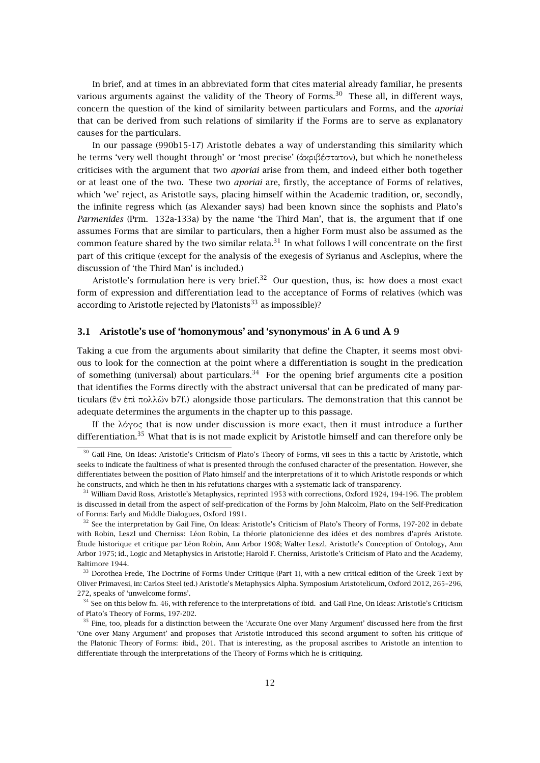In brief, and at times in an abbreviated form that cites material already familiar, he presents various arguments against the validity of the Theory of Forms.<sup>30</sup> These all, in different ways, concern the question of the kind of similarity between particulars and Forms, and the *aporiai* that can be derived from such relations of similarity if the Forms are to serve as explanatory causes for the particulars.

In our passage (990b15-17) Aristotle debates a way of understanding this similarity which he terms 'very well thought through' or 'most precise' (ἀκριβέστατον), but which he nonetheless criticises with the argument that two *aporiai* arise from them, and indeed either both together or at least one of the two. These two *aporiai* are, firstly, the acceptance of Forms of relatives, which 'we' reject, as Aristotle says, placing himself within the Academic tradition, or, secondly, the infinite regress which (as Alexander says) had been known since the sophists and Plato's *Parmenides* (Prm. 132a-133a) by the name 'the Third Man', that is, the argument that if one assumes Forms that are similar to particulars, then a higher Form must also be assumed as the common feature shared by the two similar relata.<sup>31</sup> In what follows I will concentrate on the first part of this critique (except for the analysis of the exegesis of Syrianus and Asclepius, where the discussion of 'the Third Man' is included.)

Aristotle's formulation here is very brief.<sup>32</sup> Our question, thus, is: how does a most exact form of expression and differentiation lead to the acceptance of Forms of relatives (which was according to Aristotle rejected by Platonists<sup>33</sup> as impossible)?

# **3.1 Aristotle's use of 'homonymous' and 'synonymous' in Α 6 und Α 9**

Taking a cue from the arguments about similarity that define the Chapter, it seems most obvious to look for the connection at the point where a differentiation is sought in the predication of something (universal) about particulars.<sup>34</sup> For the opening brief arguments cite a position that identifies the Forms directly with the abstract universal that can be predicated of many particulars (ἓν ἐπὶ πολλῶν b7f.) alongside those particulars. The demonstration that this cannot be adequate determines the arguments in the chapter up to this passage.

If the λόγος that is now under discussion is more exact, then it must introduce a further differentiation.<sup>35</sup> What that is is not made explicit by Aristotle himself and can therefore only be

<sup>&</sup>lt;sup>30</sup> Gail Fine, On Ideas: Aristotle's Criticism of Plato's Theory of Forms, vii sees in this a tactic by Aristotle, which seeks to indicate the faultiness of what is presented through the confused character of the presentation. However, she differentiates between the position of Plato himself and the interpretations of it to which Aristotle responds or which he constructs, and which he then in his refutations charges with a systematic lack of transparency.

<sup>&</sup>lt;sup>31</sup> William David Ross, Aristotle's Metaphysics, reprinted 1953 with corrections, Oxford 1924, 194-196. The problem is discussed in detail from the aspect of self-predication of the Forms by John Malcolm, Plato on the Self-Predication of Forms: Early and Middle Dialogues, Oxford 1991.

 $32$  See the interpretation by Gail Fine, On Ideas: Aristotle's Criticism of Plato's Theory of Forms, 197-202 in debate with Robin, Leszl und Cherniss: Léon Robin, La théorie platonicienne des idées et des nombres d'aprés Aristote. Étude historique et critique par Léon Robin, Ann Arbor 1908; Walter Leszl, Aristotle's Conception of Ontology, Ann Arbor 1975; id., Logic and Metaphysics in Aristotle; Harold F. Cherniss, Aristotle's Criticism of Plato and the Academy, Baltimore 1944.

<sup>&</sup>lt;sup>33</sup> Dorothea Frede, The Doctrine of Forms Under Critique (Part 1), with a new critical edition of the Greek Text by Oliver Primavesi, in: Carlos Steel (ed.) Aristotle's Metaphysics Alpha. Symposium Aristotelicum, Oxford 2012, 265–296, 272, speaks of 'unwelcome forms'.

<sup>&</sup>lt;sup>34</sup> See on this below fn. 46, with reference to the interpretations of ibid. and Gail Fine, On Ideas: Aristotle's Criticism of Plato's Theory of Forms, 197-202.

 $35$  Fine, too, pleads for a distinction between the 'Accurate One over Many Argument' discussed here from the first 'One over Many Argument' and proposes that Aristotle introduced this second argument to soften his critique of the Platonic Theory of Forms: ibid., 201. That is interesting, as the proposal ascribes to Aristotle an intention to differentiate through the interpretations of the Theory of Forms which he is critiquing.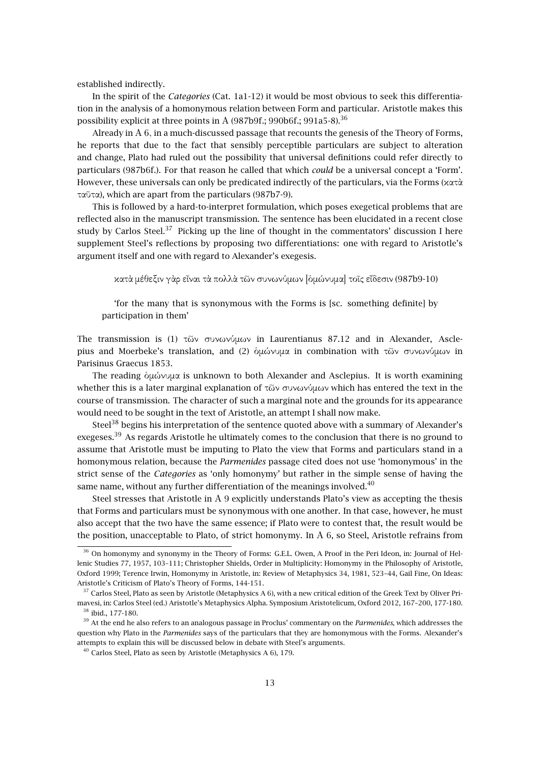established indirectly.

In the spirit of the *Categories* (Cat. 1a1-12) it would be most obvious to seek this differentiation in the analysis of a homonymous relation between Form and particular. Aristotle makes this possibility explicit at three points in A  $(987b9f, 990b6f, 991a5-8)^{36}$ 

Already in Α 6, in a much-discussed passage that recounts the genesis of the Theory of Forms, he reports that due to the fact that sensibly perceptible particulars are subject to alteration and change, Plato had ruled out the possibility that universal definitions could refer directly to particulars (987b6f.). For that reason he called that which *could* be a universal concept a 'Form'. However, these universals can only be predicated indirectly of the particulars, via the Forms (κατὰ ταῦτα), which are apart from the particulars (987b7-9).

This is followed by a hard-to-interpret formulation, which poses exegetical problems that are reflected also in the manuscript transmission. The sentence has been elucidated in a recent close study by Carlos Steel.<sup>37</sup> Picking up the line of thought in the commentators' discussion I here supplement Steel's reflections by proposing two differentiations: one with regard to Aristotle's argument itself and one with regard to Alexander's exegesis.

κατὰ µέθεξιν γὰρ εἶναι τὰ πολλὰ τῶν συνωνύµων [ὁµώνυµα] τοῖς εἴδεσιν (987b9-10)

'for the many that is synonymous with the Forms is [sc. something definite] by participation in them'

The transmission is (1) τῶν συνωνύµων in Laurentianus 87.12 and in Alexander, Asclepius and Moerbeke's translation, and (2) ὁµώνυµα in combination with τῶν συνωνύµων in Parisinus Graecus 1853.

The reading ὁµώνυµα is unknown to both Alexander and Asclepius. It is worth examining whether this is a later marginal explanation of τῶν συνωνύμων which has entered the text in the course of transmission. The character of such a marginal note and the grounds for its appearance would need to be sought in the text of Aristotle, an attempt I shall now make.

Steel<sup>38</sup> begins his interpretation of the sentence quoted above with a summary of Alexander's exegeses.<sup>39</sup> As regards Aristotle he ultimately comes to the conclusion that there is no ground to assume that Aristotle must be imputing to Plato the view that Forms and particulars stand in a homonymous relation, because the *Parmenides* passage cited does not use 'homonymous' in the strict sense of the *Categories* as 'only homonymy' but rather in the simple sense of having the same name, without any further differentiation of the meanings involved. $40$ 

Steel stresses that Aristotle in Α 9 explicitly understands Plato's view as accepting the thesis that Forms and particulars must be synonymous with one another. In that case, however, he must also accept that the two have the same essence; if Plato were to contest that, the result would be the position, unacceptable to Plato, of strict homonymy. In Α 6, so Steel, Aristotle refrains from

<sup>&</sup>lt;sup>36</sup> On homonymy and synonymy in the Theory of Forms: G.E.L. Owen, A Proof in the Peri Ideon, in: Journal of Hellenic Studies 77, 1957, 103–111; Christopher Shields, Order in Multiplicity: Homonymy in the Philosophy of Aristotle, Oxford 1999; Terence Irwin, Homonymy in Aristotle, in: Review of Metaphysics 34, 1981, 523–44, Gail Fine, On Ideas: Aristotle's Criticism of Plato's Theory of Forms, 144-151.

 $37$  Carlos Steel, Plato as seen by Aristotle (Metaphysics A 6), with a new critical edition of the Greek Text by Oliver Primavesi, in: Carlos Steel (ed.) Aristotle's Metaphysics Alpha. Symposium Aristotelicum, Oxford 2012, 167–200, 177-180. <sup>38</sup> ibid., 177-180.

<sup>39</sup> At the end he also refers to an analogous passage in Proclus' commentary on the *Parmenides*, which addresses the question why Plato in the *Parmenides* says of the particulars that they are homonymous with the Forms. Alexander's attempts to explain this will be discussed below in debate with Steel's arguments.

 $40$  Carlos Steel, Plato as seen by Aristotle (Metaphysics A 6), 179.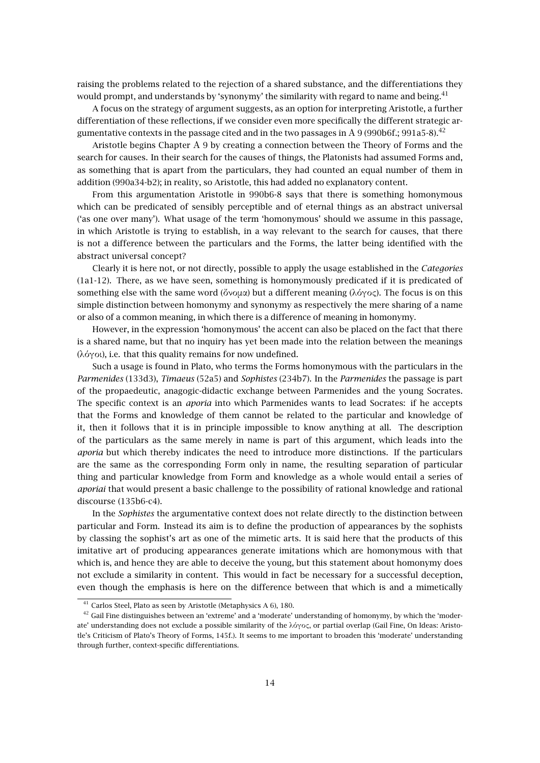raising the problems related to the rejection of a shared substance, and the differentiations they would prompt, and understands by 'synonymy' the similarity with regard to name and being.<sup>41</sup>

A focus on the strategy of argument suggests, as an option for interpreting Aristotle, a further differentiation of these reflections, if we consider even more specifically the different strategic argumentative contexts in the passage cited and in the two passages in A 9 (990b6f.; 991a5-8).<sup>42</sup>

Aristotle begins Chapter Α 9 by creating a connection between the Theory of Forms and the search for causes. In their search for the causes of things, the Platonists had assumed Forms and, as something that is apart from the particulars, they had counted an equal number of them in addition (990a34-b2); in reality, so Aristotle, this had added no explanatory content.

From this argumentation Aristotle in 990b6-8 says that there is something homonymous which can be predicated of sensibly perceptible and of eternal things as an abstract universal ('as one over many'). What usage of the term 'homonymous' should we assume in this passage, in which Aristotle is trying to establish, in a way relevant to the search for causes, that there is not a difference between the particulars and the Forms, the latter being identified with the abstract universal concept?

Clearly it is here not, or not directly, possible to apply the usage established in the *Categories* (1a1-12). There, as we have seen, something is homonymously predicated if it is predicated of something else with the same word (ὄνομα) but a different meaning (λόγος). The focus is on this simple distinction between homonymy and synonymy as respectively the mere sharing of a name or also of a common meaning, in which there is a difference of meaning in homonymy.

However, in the expression 'homonymous' the accent can also be placed on the fact that there is a shared name, but that no inquiry has yet been made into the relation between the meanings (λόγοι), i.e. that this quality remains for now undefined.

Such a usage is found in Plato, who terms the Forms homonymous with the particulars in the *Parmenides* (133d3), *Timaeus* (52a5) and *Sophistes* (234b7). In the *Parmenides* the passage is part of the propaedeutic, anagogic-didactic exchange between Parmenides and the young Socrates. The specific context is an *aporia* into which Parmenides wants to lead Socrates: if he accepts that the Forms and knowledge of them cannot be related to the particular and knowledge of it, then it follows that it is in principle impossible to know anything at all. The description of the particulars as the same merely in name is part of this argument, which leads into the *aporia* but which thereby indicates the need to introduce more distinctions. If the particulars are the same as the corresponding Form only in name, the resulting separation of particular thing and particular knowledge from Form and knowledge as a whole would entail a series of *aporiai* that would present a basic challenge to the possibility of rational knowledge and rational discourse (135b6-c4).

In the *Sophistes* the argumentative context does not relate directly to the distinction between particular and Form. Instead its aim is to define the production of appearances by the sophists by classing the sophist's art as one of the mimetic arts. It is said here that the products of this imitative art of producing appearances generate imitations which are homonymous with that which is, and hence they are able to deceive the young, but this statement about homonymy does not exclude a similarity in content. This would in fact be necessary for a successful deception, even though the emphasis is here on the difference between that which is and a mimetically

<sup>41</sup> Carlos Steel, Plato as seen by Aristotle (Metaphysics A 6), 180.

 $42$  Gail Fine distinguishes between an 'extreme' and a 'moderate' understanding of homonymy, by which the 'moderate' understanding does not exclude a possible similarity of the λόγος, or partial overlap (Gail Fine, On Ideas: Aristotle's Criticism of Plato's Theory of Forms, 145f.). It seems to me important to broaden this 'moderate' understanding through further, context-specific differentiations.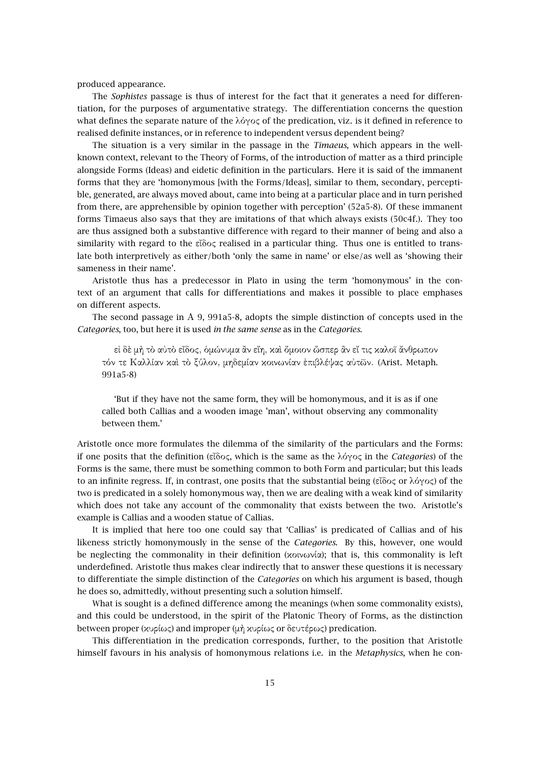produced appearance.

The *Sophistes* passage is thus of interest for the fact that it generates a need for differentiation, for the purposes of argumentative strategy. The differentiation concerns the question what defines the separate nature of the λόγος of the predication, viz. is it defined in reference to realised definite instances, or in reference to independent versus dependent being?

The situation is a very similar in the passage in the *Timaeus*, which appears in the wellknown context, relevant to the Theory of Forms, of the introduction of matter as a third principle alongside Forms (Ideas) and eidetic definition in the particulars. Here it is said of the immanent forms that they are 'homonymous [with the Forms/Ideas], similar to them, secondary, perceptible, generated, are always moved about, came into being at a particular place and in turn perished from there, are apprehensible by opinion together with perception' (52a5-8). Of these immanent forms Timaeus also says that they are imitations of that which always exists (50c4f.). They too are thus assigned both a substantive difference with regard to their manner of being and also a similarity with regard to the εἶδος realised in a particular thing. Thus one is entitled to translate both interpretively as either/both 'only the same in name' or else/as well as 'showing their sameness in their name'.

Aristotle thus has a predecessor in Plato in using the term 'homonymous' in the context of an argument that calls for differentiations and makes it possible to place emphases on different aspects.

The second passage in Α 9, 991a5-8, adopts the simple distinction of concepts used in the *Categories*, too, but here it is used *in the same sense* as in the *Categories*.

εἰ δὲ µὴ τὸ αὐτὸ εἶδος, ὁµώνυµα ἂν εἴη, καὶ ὅµοιον ὥσπερ ἂν εἴ τις καλοῖ ἄνθρωπον τόν τε Καλλίαν καὶ τὸ ξύλον, µηδεµίαν κοινωνίαν ἐπιβλέψας αὐτῶν. (Arist. Metaph. 991a5-8)

'But if they have not the same form, they will be homonymous, and it is as if one called both Callias and a wooden image 'man', without observing any commonality between them.'

Aristotle once more formulates the dilemma of the similarity of the particulars and the Forms: if one posits that the definition (εἶδος, which is the same as the λόγος in the *Categories*) of the Forms is the same, there must be something common to both Form and particular; but this leads to an infinite regress. If, in contrast, one posits that the substantial being (εἶδος or λόγος) of the two is predicated in a solely homonymous way, then we are dealing with a weak kind of similarity which does not take any account of the commonality that exists between the two. Aristotle's example is Callias and a wooden statue of Callias.

It is implied that here too one could say that 'Callias' is predicated of Callias and of his likeness strictly homonymously in the sense of the *Categories*. By this, however, one would be neglecting the commonality in their definition (κοινωνία); that is, this commonality is left underdefined. Aristotle thus makes clear indirectly that to answer these questions it is necessary to differentiate the simple distinction of the *Categories* on which his argument is based, though he does so, admittedly, without presenting such a solution himself.

What is sought is a defined difference among the meanings (when some commonality exists), and this could be understood, in the spirit of the Platonic Theory of Forms, as the distinction between proper (κυρίως) and improper (µὴ κυρίως or δευτέρως) predication.

This differentiation in the predication corresponds, further, to the position that Aristotle himself favours in his analysis of homonymous relations i.e. in the *Metaphysics*, when he con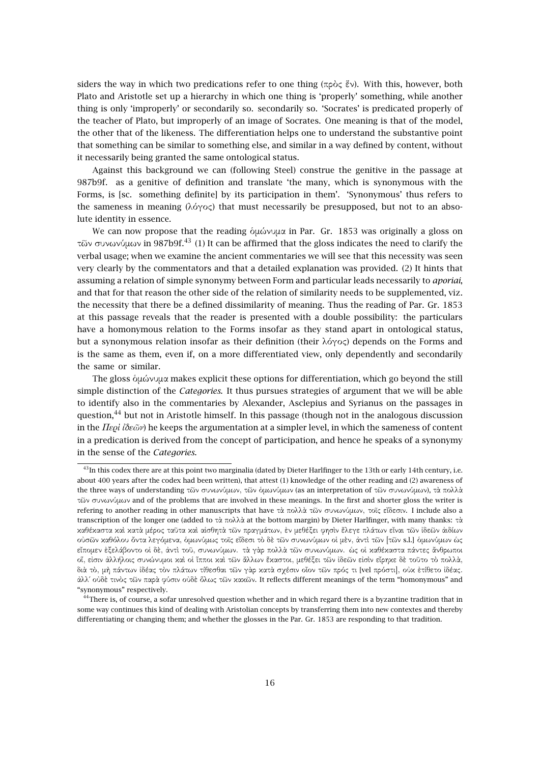siders the way in which two predications refer to one thing (πρὸς ἕν). With this, however, both Plato and Aristotle set up a hierarchy in which one thing is 'properly' something, while another thing is only 'improperly' or secondarily so. secondarily so. 'Socrates' is predicated properly of the teacher of Plato, but improperly of an image of Socrates. One meaning is that of the model, the other that of the likeness. The differentiation helps one to understand the substantive point that something can be similar to something else, and similar in a way defined by content, without it necessarily being granted the same ontological status.

Against this background we can (following Steel) construe the genitive in the passage at 987b9f. as a genitive of definition and translate 'the many, which is synonymous with the Forms, is [sc. something definite] by its participation in them'. 'Synonymous' thus refers to the sameness in meaning (λόγος) that must necessarily be presupposed, but not to an absolute identity in essence.

We can now propose that the reading ὁµώνυµα in Par. Gr. 1853 was originally a gloss on τῶν συνωνύµων in 987b9f.<sup>43</sup> (1) It can be affirmed that the gloss indicates the need to clarify the verbal usage; when we examine the ancient commentaries we will see that this necessity was seen very clearly by the commentators and that a detailed explanation was provided. (2) It hints that assuming a relation of simple synonymy between Form and particular leads necessarily to *aporiai*, and that for that reason the other side of the relation of similarity needs to be supplemented, viz. the necessity that there be a defined dissimilarity of meaning. Thus the reading of Par. Gr. 1853 at this passage reveals that the reader is presented with a double possibility: the particulars have a homonymous relation to the Forms insofar as they stand apart in ontological status, but a synonymous relation insofar as their definition (their λόγος) depends on the Forms and is the same as them, even if, on a more differentiated view, only dependently and secondarily the same or similar.

The gloss ὁµώνυµα makes explicit these options for differentiation, which go beyond the still simple distinction of the *Categories*. It thus pursues strategies of argument that we will be able to identify also in the commentaries by Alexander, Asclepius and Syrianus on the passages in question,<sup>44</sup> but not in Aristotle himself. In this passage (though not in the analogous discussion in the *Περὶ ἰδεῶν*) he keeps the argumentation at a simpler level, in which the sameness of content in a predication is derived from the concept of participation, and hence he speaks of a synonymy in the sense of the *Categories*.

<sup>&</sup>lt;sup>43</sup>In this codex there are at this point two marginalia (dated by Dieter Harlfinger to the 13th or early 14th century, i.e. about 400 years after the codex had been written), that attest (1) knowledge of the other reading and (2) awareness of the three ways of understanding τῶν συνωνύµων, τῶν ὁµωνύµων (as an interpretation of τῶν συνωνύµων), τὰ πολλὰ τῶν συνωνύµων and of the problems that are involved in these meanings. In the first and shorter gloss the writer is refering to another reading in other manuscripts that have τὰ πολλὰ τῶν συνωνύµων, τοῖς εἴδεσιν. I include also a transcription of the longer one (added to τὰ πολλὰ at the bottom margin) by Dieter Harlfinger, with many thanks: τὰ καθέκαστα καὶ κατὰ µέρος ταῦτα καὶ αἰσθητὰ τῶν πραγµάτων, ἐν µεθέξει φησὶν ἔλεγε πλάτων εἶναι τῶν ἰδεῶν ἀιδίων οὐσῶν καθόλου ὄντα λεγόµενα, ὁµωνύµως τοῖς εἴδεσι τὸ δὲ τῶν συνωνύµων οἱ µὲν, ἀντὶ τῶν [τῶν s.l.] ὁµωνύµων ὡς εἴποµεν ἐξελάβοντο οἱ δὲ, ἀντὶ τοῦ, συνωνύµων. τὰ γὰρ πολλὰ τῶν συνωνύµων. ὡς οἱ καθέκαστα πάντες ἄνθρωποι οἵ, εἰσιν ἀλλήλοις συνώνυµοι καὶ οἱ ἵπποι καὶ τῶν ἄλλων ἕκαστοι, µεθέξει τῶν ἰδεῶν εἰσὶν εἴρηκε δὲ τοῦτο τὸ πολλὰ, διὰ τὸ, µὴ πάντων ἰδέας τὸν πλάτων τίθεσθαι τῶν γὰρ κατὰ σχέσιν οἷον τῶν πρός τι [vel πρόστι], οὐκ ἐτίθετο ἰδέας. ἀλλ΄ οὐδὲ τινὸς τῶν παρὰ φύσιν οὐδὲ ὅλως τῶν κακῶν. It reflects different meanings of the term "homonymous" and "synonymous" respectively.

<sup>&</sup>lt;sup>44</sup>There is, of course, a sofar unresolved question whether and in which regard there is a byzantine tradition that in some way continues this kind of dealing with Aristolian concepts by transferring them into new contextes and thereby differentiating or changing them; and whether the glosses in the Par. Gr. 1853 are responding to that tradition.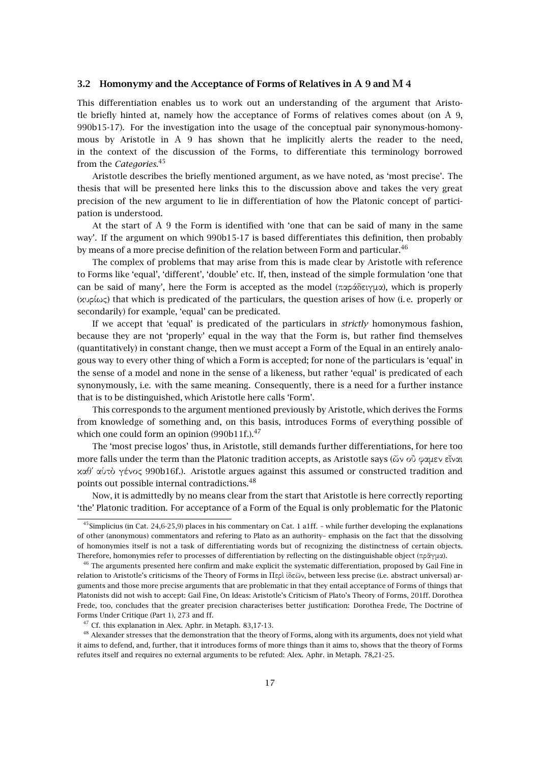#### **3.2 Homonymy and the Acceptance of Forms of Relatives in Α 9 and Μ 4**

This differentiation enables us to work out an understanding of the argument that Aristotle briefly hinted at, namely how the acceptance of Forms of relatives comes about (on Α 9, 990b15-17). For the investigation into the usage of the conceptual pair synonymous-homonymous by Aristotle in A 9 has shown that he implicitly alerts the reader to the need, in the context of the discussion of the Forms, to differentiate this terminology borrowed from the *Categories*. 45

Aristotle describes the briefly mentioned argument, as we have noted, as 'most precise'. The thesis that will be presented here links this to the discussion above and takes the very great precision of the new argument to lie in differentiation of how the Platonic concept of participation is understood.

At the start of Α 9 the Form is identified with 'one that can be said of many in the same way'. If the argument on which 990b15-17 is based differentiates this definition, then probably by means of a more precise definition of the relation between Form and particular.<sup>46</sup>

The complex of problems that may arise from this is made clear by Aristotle with reference to Forms like 'equal', 'different', 'double' etc. If, then, instead of the simple formulation 'one that can be said of many', here the Form is accepted as the model (παράδειγµα), which is properly (κυρίως) that which is predicated of the particulars, the question arises of how (i. e. properly or secondarily) for example, 'equal' can be predicated.

If we accept that 'equal' is predicated of the particulars in *strictly* homonymous fashion, because they are not 'properly' equal in the way that the Form is, but rather find themselves (quantitatively) in constant change, then we must accept a Form of the Equal in an entirely analogous way to every other thing of which a Form is accepted; for none of the particulars is 'equal' in the sense of a model and none in the sense of a likeness, but rather 'equal' is predicated of each synonymously, i.e. with the same meaning. Consequently, there is a need for a further instance that is to be distinguished, which Aristotle here calls 'Form'.

This corresponds to the argument mentioned previously by Aristotle, which derives the Forms from knowledge of something and, on this basis, introduces Forms of everything possible of which one could form an opinion (990b11f.).<sup>47</sup>

The 'most precise logos' thus, in Aristotle, still demands further differentiations, for here too more falls under the term than the Platonic tradition accepts, as Aristotle says (ὧν οὒ φαµεν εἶναι καθ΄ αὑτὸ γένος 990b16f.). Aristotle argues against this assumed or constructed tradition and points out possible internal contradictions.<sup>48</sup>

Now, it is admittedly by no means clear from the start that Aristotle is here correctly reporting 'the' Platonic tradition. For acceptance of a Form of the Equal is only problematic for the Platonic

<sup>&</sup>lt;sup>45</sup>Simplicius (in Cat. 24,6-25,9) places in his commentary on Cat. 1 a1ff. – while further developing the explanations of other (anonymous) commentators and refering to Plato as an authority– emphasis on the fact that the dissolving of homonymies itself is not a task of differentiating words but of recognizing the distinctness of certain objects. Therefore, homonymies refer to processes of differentiation by reflecting on the distinguishable object (πρᾶγµα).

 $46$  The arguments presented here confirm and make explicit the systematic differentiation, proposed by Gail Fine in relation to Aristotle's criticisms of the Theory of Forms in Περὶ ἰδεῶν, between less precise (i.e. abstract universal) arguments and those more precise arguments that are problematic in that they entail acceptance of Forms of things that Platonists did not wish to accept: Gail Fine, On Ideas: Aristotle's Criticism of Plato's Theory of Forms, 201ff. Dorothea Frede, too, concludes that the greater precision characterises better justification: Dorothea Frede, The Doctrine of Forms Under Critique (Part 1), 273 and ff.

<sup>&</sup>lt;sup>47</sup> Cf. this explanation in Alex. Aphr. in Metaph. 83,17-13.

<sup>&</sup>lt;sup>48</sup> Alexander stresses that the demonstration that the theory of Forms, along with its arguments, does not yield what it aims to defend, and, further, that it introduces forms of more things than it aims to, shows that the theory of Forms refutes itself and requires no external arguments to be refuted: Alex. Aphr. in Metaph. 78,21-25.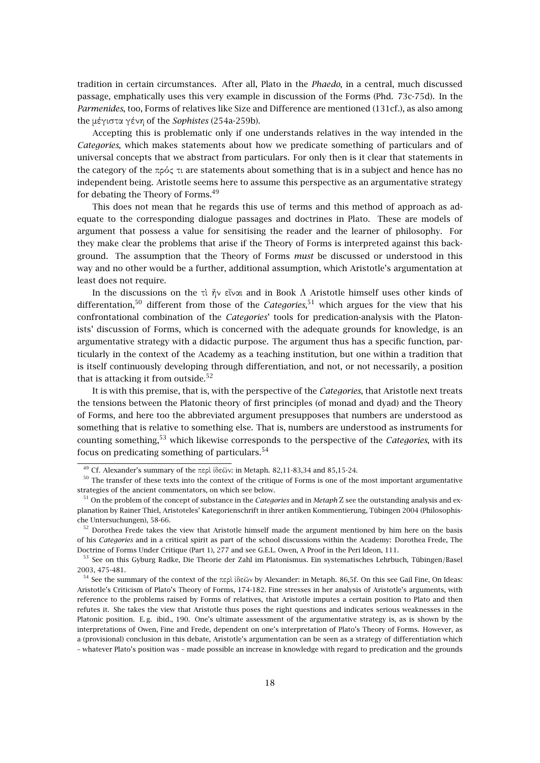tradition in certain circumstances. After all, Plato in the *Phaedo*, in a central, much discussed passage, emphatically uses this very example in discussion of the Forms (Phd. 73c-75d). In the *Parmenides*, too, Forms of relatives like Size and Difference are mentioned (131cf.), as also among the µέγιστα γένη of the *Sophistes* (254a-259b).

Accepting this is problematic only if one understands relatives in the way intended in the *Categories*, which makes statements about how we predicate something of particulars and of universal concepts that we abstract from particulars. For only then is it clear that statements in the category of the πρός τι are statements about something that is in a subject and hence has no independent being. Aristotle seems here to assume this perspective as an argumentative strategy for debating the Theory of Forms.<sup>49</sup>

This does not mean that he regards this use of terms and this method of approach as adequate to the corresponding dialogue passages and doctrines in Plato. These are models of argument that possess a value for sensitising the reader and the learner of philosophy. For they make clear the problems that arise if the Theory of Forms is interpreted against this background. The assumption that the Theory of Forms *must* be discussed or understood in this way and no other would be a further, additional assumption, which Aristotle's argumentation at least does not require.

In the discussions on the τὶ ἦν εἶναι and in Book Λ Aristotle himself uses other kinds of differentation,<sup>50</sup> different from those of the *Categories*, <sup>51</sup> which argues for the view that his confrontational combination of the *Categories*' tools for predication-analysis with the Platonists' discussion of Forms, which is concerned with the adequate grounds for knowledge, is an argumentative strategy with a didactic purpose. The argument thus has a specific function, particularly in the context of the Academy as a teaching institution, but one within a tradition that is itself continuously developing through differentiation, and not, or not necessarily, a position that is attacking it from outside.<sup>52</sup>

It is with this premise, that is, with the perspective of the *Categories*, that Aristotle next treats the tensions between the Platonic theory of first principles (of monad and dyad) and the Theory of Forms, and here too the abbreviated argument presupposes that numbers are understood as something that is relative to something else. That is, numbers are understood as instruments for counting something,<sup>53</sup> which likewise corresponds to the perspective of the *Categories*, with its focus on predicating something of particulars.  $54$ 

<sup>&</sup>lt;sup>49</sup> Cf. Alexander's summary of the περὶ ἰδεῶν: in Metaph. 82,11-83,34 and 85,15-24.

<sup>&</sup>lt;sup>50</sup> The transfer of these texts into the context of the critique of Forms is one of the most important argumentative strategies of the ancient commentators, on which see below.

<sup>51</sup> On the problem of the concept of substance in the *Categories* and in *Metaph* Ζ see the outstanding analysis and explanation by Rainer Thiel, Aristoteles' Kategorienschrift in ihrer antiken Kommentierung, Tübingen 2004 (Philosophische Untersuchungen), 58-66.

 $52$  Dorothea Frede takes the view that Aristotle himself made the argument mentioned by him here on the basis of his *Categories* and in a critical spirit as part of the school discussions within the Academy: Dorothea Frede, The Doctrine of Forms Under Critique (Part 1), 277 and see G.E.L. Owen, A Proof in the Peri Ideon, 111.

<sup>53</sup> See on this Gyburg Radke, Die Theorie der Zahl im Platonismus. Ein systematisches Lehrbuch, Tübingen/Basel 2003, 475-481.

<sup>54</sup> See the summary of the context of the περὶ ἰδεῶν by Alexander: in Metaph. 86,5f. On this see Gail Fine, On Ideas: Aristotle's Criticism of Plato's Theory of Forms, 174-182. Fine stresses in her analysis of Aristotle's arguments, with reference to the problems raised by Forms of relatives, that Aristotle imputes a certain position to Plato and then refutes it. She takes the view that Aristotle thus poses the right questions and indicates serious weaknesses in the Platonic position. E.g. ibid., 190. One's ultimate assessment of the argumentative strategy is, as is shown by the interpretations of Owen, Fine and Frede, dependent on one's interpretation of Plato's Theory of Forms. However, as a (provisional) conclusion in this debate, Aristotle's argumentation can be seen as a strategy of differentiation which – whatever Plato's position was – made possible an increase in knowledge with regard to predication and the grounds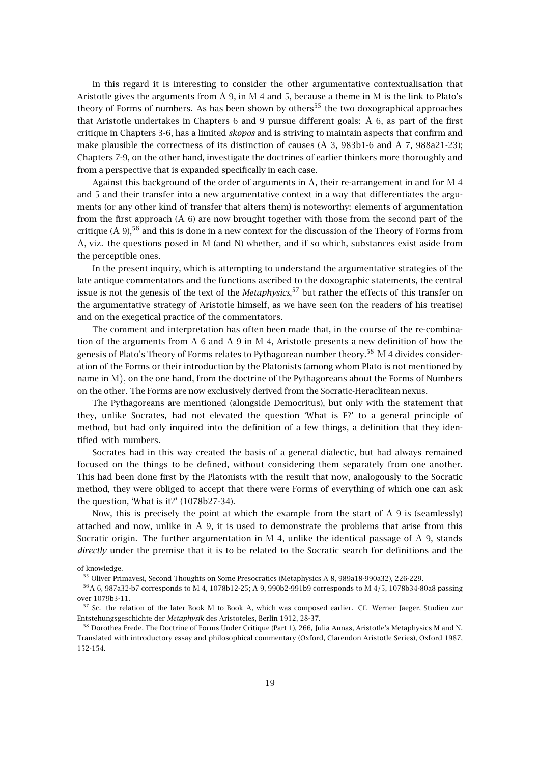In this regard it is interesting to consider the other argumentative contextualisation that Aristotle gives the arguments from A 9, in M 4 and 5, because a theme in M is the link to Plato's theory of Forms of numbers. As has been shown by others<sup>55</sup> the two doxographical approaches that Aristotle undertakes in Chapters 6 and 9 pursue different goals: Α 6, as part of the first critique in Chapters 3-6, has a limited *skopos* and is striving to maintain aspects that confirm and make plausible the correctness of its distinction of causes (Α 3, 983b1-6 and Α 7, 988a21-23); Chapters 7-9, on the other hand, investigate the doctrines of earlier thinkers more thoroughly and from a perspective that is expanded specifically in each case.

Against this background of the order of arguments in Α, their re-arrangement in and for Μ 4 and 5 and their transfer into a new argumentative context in a way that differentiates the arguments (or any other kind of transfer that alters them) is noteworthy: elements of argumentation from the first approach (Α 6) are now brought together with those from the second part of the critique (A 9),<sup>56</sup> and this is done in a new context for the discussion of the Theory of Forms from Α, viz. the questions posed in Μ (and Ν) whether, and if so which, substances exist aside from the perceptible ones.

In the present inquiry, which is attempting to understand the argumentative strategies of the late antique commentators and the functions ascribed to the doxographic statements, the central issue is not the genesis of the text of the *Metaphysics*, <sup>57</sup> but rather the effects of this transfer on the argumentative strategy of Aristotle himself, as we have seen (on the readers of his treatise) and on the exegetical practice of the commentators.

The comment and interpretation has often been made that, in the course of the re-combination of the arguments from Α 6 and Α 9 in Μ 4, Aristotle presents a new definition of how the genesis of Plato's Theory of Forms relates to Pythagorean number theory.<sup>58</sup> M 4 divides consideration of the Forms or their introduction by the Platonists (among whom Plato is not mentioned by name in Μ), on the one hand, from the doctrine of the Pythagoreans about the Forms of Numbers on the other. The Forms are now exclusively derived from the Socratic-Heraclitean nexus.

The Pythagoreans are mentioned (alongside Democritus), but only with the statement that they, unlike Socrates, had not elevated the question 'What is F?' to a general principle of method, but had only inquired into the definition of a few things, a definition that they identified with numbers.

Socrates had in this way created the basis of a general dialectic, but had always remained focused on the things to be defined, without considering them separately from one another. This had been done first by the Platonists with the result that now, analogously to the Socratic method, they were obliged to accept that there were Forms of everything of which one can ask the question, 'What is it?' (1078b27-34).

Now, this is precisely the point at which the example from the start of A 9 is (seamlessly) attached and now, unlike in Α 9, it is used to demonstrate the problems that arise from this Socratic origin. The further argumentation in M 4, unlike the identical passage of A 9, stands *directly* under the premise that it is to be related to the Socratic search for definitions and the

of knowledge.

<sup>55</sup> Oliver Primavesi, Second Thoughts on Some Presocratics (Metaphysics A 8, 989a18-990a32), 226-229.

<sup>56</sup>Α 6, 987a32-b7 corresponds to Μ 4, 1078b12-25; Α 9, 990b2-991b9 corresponds to Μ 4/5, 1078b34-80a8 passing over 1079b3-11.

<sup>57</sup> Sc. the relation of the later Book Μ to Book Α, which was composed earlier. Cf. Werner Jaeger, Studien zur Entstehungsgeschichte der *Metaphysik* des Aristoteles, Berlin 1912, 28-37.

<sup>58</sup> Dorothea Frede, The Doctrine of Forms Under Critique (Part 1), 266, Julia Annas, Aristotle's Metaphysics M and N. Translated with introductory essay and philosophical commentary (Oxford, Clarendon Aristotle Series), Oxford 1987, 152-154.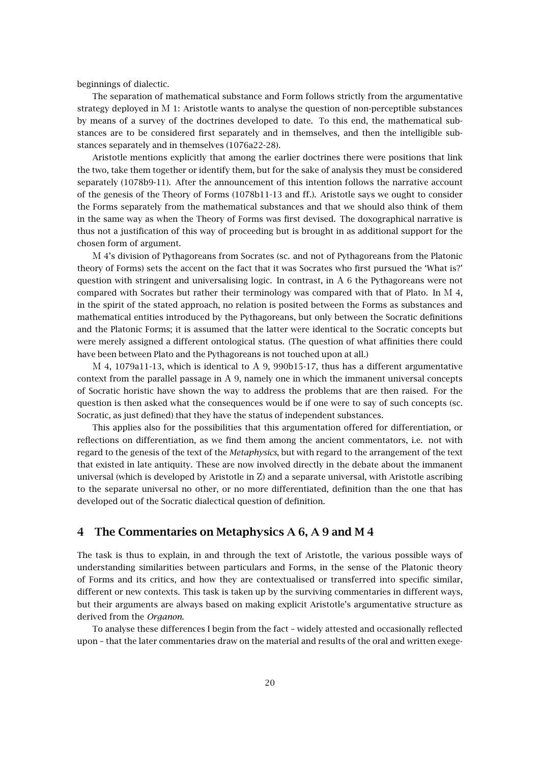beginnings of dialectic.

The separation of mathematical substance and Form follows strictly from the argumentative strategy deployed in Μ 1: Aristotle wants to analyse the question of non-perceptible substances by means of a survey of the doctrines developed to date. To this end, the mathematical substances are to be considered first separately and in themselves, and then the intelligible substances separately and in themselves (1076a22-28).

Aristotle mentions explicitly that among the earlier doctrines there were positions that link the two, take them together or identify them, but for the sake of analysis they must be considered separately (1078b9-11). After the announcement of this intention follows the narrative account of the genesis of the Theory of Forms (1078b11-13 and ff.). Aristotle says we ought to consider the Forms separately from the mathematical substances and that we should also think of them in the same way as when the Theory of Forms was first devised. The doxographical narrative is thus not a justification of this way of proceeding but is brought in as additional support for the chosen form of argument.

Μ 4's division of Pythagoreans from Socrates (sc. and not of Pythagoreans from the Platonic theory of Forms) sets the accent on the fact that it was Socrates who first pursued the 'What is?' question with stringent and universalising logic. In contrast, in  $A_6$  the Pythagoreans were not compared with Socrates but rather their terminology was compared with that of Plato. In Μ 4, in the spirit of the stated approach, no relation is posited between the Forms as substances and mathematical entities introduced by the Pythagoreans, but only between the Socratic definitions and the Platonic Forms; it is assumed that the latter were identical to the Socratic concepts but were merely assigned a different ontological status. (The question of what affinities there could have been between Plato and the Pythagoreans is not touched upon at all.)

Μ 4, 1079a11-13, which is identical to Α 9, 990b15-17, thus has a different argumentative context from the parallel passage in Α 9, namely one in which the immanent universal concepts of Socratic horistic have shown the way to address the problems that are then raised. For the question is then asked what the consequences would be if one were to say of such concepts (sc. Socratic, as just defined) that they have the status of independent substances.

This applies also for the possibilities that this argumentation offered for differentiation, or reflections on differentiation, as we find them among the ancient commentators, i.e. not with regard to the genesis of the text of the *Metaphysics*, but with regard to the arrangement of the text that existed in late antiquity. These are now involved directly in the debate about the immanent universal (which is developed by Aristotle in Ζ) and a separate universal, with Aristotle ascribing to the separate universal no other, or no more differentiated, definition than the one that has developed out of the Socratic dialectical question of definition.

# **4 The Commentaries on Metaphysics A 6, A 9 and M 4**

The task is thus to explain, in and through the text of Aristotle, the various possible ways of understanding similarities between particulars and Forms, in the sense of the Platonic theory of Forms and its critics, and how they are contextualised or transferred into specific similar, different or new contexts. This task is taken up by the surviving commentaries in different ways, but their arguments are always based on making explicit Aristotle's argumentative structure as derived from the *Organon*.

To analyse these differences I begin from the fact – widely attested and occasionally reflected upon – that the later commentaries draw on the material and results of the oral and written exege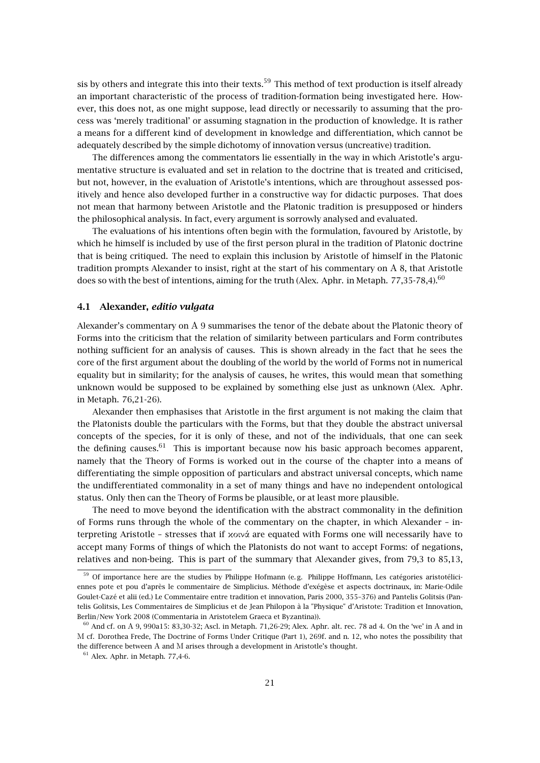sis by others and integrate this into their texts.<sup>59</sup> This method of text production is itself already an important characteristic of the process of tradition-formation being investigated here. However, this does not, as one might suppose, lead directly or necessarily to assuming that the process was 'merely traditional' or assuming stagnation in the production of knowledge. It is rather a means for a different kind of development in knowledge and differentiation, which cannot be adequately described by the simple dichotomy of innovation versus (uncreative) tradition.

The differences among the commentators lie essentially in the way in which Aristotle's argumentative structure is evaluated and set in relation to the doctrine that is treated and criticised, but not, however, in the evaluation of Aristotle's intentions, which are throughout assessed positively and hence also developed further in a constructive way for didactic purposes. That does not mean that harmony between Aristotle and the Platonic tradition is presupposed or hinders the philosophical analysis. In fact, every argument is sorrowly analysed and evaluated.

The evaluations of his intentions often begin with the formulation, favoured by Aristotle, by which he himself is included by use of the first person plural in the tradition of Platonic doctrine that is being critiqued. The need to explain this inclusion by Aristotle of himself in the Platonic tradition prompts Alexander to insist, right at the start of his commentary on Α 8, that Aristotle does so with the best of intentions, aiming for the truth (Alex. Aphr. in Metaph. 77,35-78,4).<sup>60</sup>

#### **4.1 Alexander,** *editio vulgata*

Alexander's commentary on Α 9 summarises the tenor of the debate about the Platonic theory of Forms into the criticism that the relation of similarity between particulars and Form contributes nothing sufficient for an analysis of causes. This is shown already in the fact that he sees the core of the first argument about the doubling of the world by the world of Forms not in numerical equality but in similarity; for the analysis of causes, he writes, this would mean that something unknown would be supposed to be explained by something else just as unknown (Alex. Aphr. in Metaph. 76,21-26).

Alexander then emphasises that Aristotle in the first argument is not making the claim that the Platonists double the particulars with the Forms, but that they double the abstract universal concepts of the species, for it is only of these, and not of the individuals, that one can seek the defining causes. $61$  This is important because now his basic approach becomes apparent, namely that the Theory of Forms is worked out in the course of the chapter into a means of differentiating the simple opposition of particulars and abstract universal concepts, which name the undifferentiated commonality in a set of many things and have no independent ontological status. Only then can the Theory of Forms be plausible, or at least more plausible.

The need to move beyond the identification with the abstract commonality in the definition of Forms runs through the whole of the commentary on the chapter, in which Alexander – interpreting Aristotle – stresses that if κοινά are equated with Forms one will necessarily have to accept many Forms of things of which the Platonists do not want to accept Forms: of negations, relatives and non-being. This is part of the summary that Alexander gives, from 79,3 to 85,13,

<sup>&</sup>lt;sup>59</sup> Of importance here are the studies by Philippe Hofmann (e.g. Philippe Hoffmann, Les catégories aristotéliciennes pote et pou d'après le commentaire de Simplicius. Méthode d'exégèse et aspects doctrinaux, in: Marie-Odile Goulet-Cazé et alii (ed.) Le Commentaire entre tradition et innovation, Paris 2000, 355–376) and Pantelis Golitsis (Pantelis Golitsis, Les Commentaires de Simplicius et de Jean Philopon à la "Physique" d'Aristote: Tradition et Innovation, Berlin/New York 2008 (Commentaria in Aristotelem Graeca et Byzantina)).

<sup>60</sup> And cf. on Α 9, 990a15: 83,30-32; Ascl. in Metaph. 71,26-29; Alex. Aphr. alt. rec. 78 ad 4. On the 'we' in Α and in Μ cf. Dorothea Frede, The Doctrine of Forms Under Critique (Part 1), 269f. and n. 12, who notes the possibility that the difference between Α and Μ arises through a development in Aristotle's thought.

 $61$  Alex. Aphr. in Metaph. 77,4-6.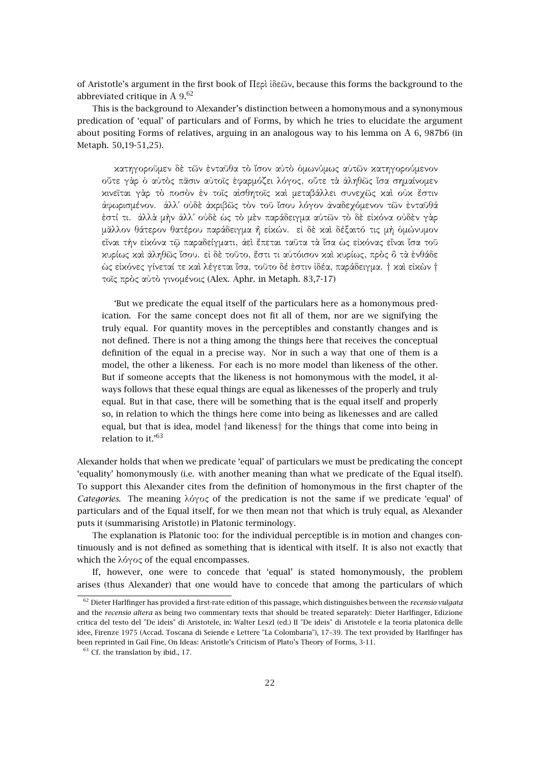of Aristotle's argument in the first book of Περὶ ἰδεῶν, because this forms the background to the abbreviated critique in  $A$  9.<sup>62</sup>

This is the background to Alexander's distinction between a homonymous and a synonymous predication of 'equal' of particulars and of Forms, by which he tries to elucidate the argument about positing Forms of relatives, arguing in an analogous way to his lemma on Α 6, 987b6 (in Metaph. 50,19-51,25).

κατηγοροῦµεν δὲ τῶν ἐνταῦθα τὸ ἴσον αὐτὸ ὁµωνύµως αὐτῶν κατηγορούµενον οὔτε γὰρ ὁ αὐτὸς πᾶσιν αὐτοῖς ἐφαρµόζει λόγος, οὔτε τὰ ἀληθῶς ἴσα σηµαίνοµεν κινεῖται γὰρ τὸ ποσὸν ἐν τοῖς αἰσθητοῖς καὶ µεταβάλλει συνεχῶς καὶ οὐκ ἔστιν ἀφωρισµένον. ἀλλ΄ οὐδὲ ἀκριβῶς τὸν τοῦ ἴσου λόγον ἀναδεχόµενον τῶν ἐνταῦθά ἐστί τι. ἀλλὰ µὴν ἀλλ΄ οὐδὲ ὡς τὸ µὲν παράδειγµα αὐτῶν τὸ δὲ εἰκόνα οὐδὲν γὰρ µᾶλλον θάτερον θατέρου παράδειγµα ἢ εἰκών. εἰ δὲ καὶ δέξαιτό τις µὴ ὁµώνυµον εἶναι τὴν εἰκόνα τῷ παραδείγµατι, ἀεὶ ἕπεται ταῦτα τὰ ἴσα ὡς εἰκόνας εἶναι ἴσα τοῦ κυρίως καὶ ἀληθῶς ἴσου. εἰ δὲ τοῦτο, ἔστι τι αὐτόισον καὶ κυρίως, πρὸς ὃ τὰ ἐνθάδε ὡς εἰκόνες γίνεταί τε καὶ λέγεται ἴσα, τοῦτο δέ ἐστιν ἰδέα, παράδειγµα. † καὶ εἰκὼν † τοῖς πρὸς αὐτὸ γινοµένοις (Alex. Aphr. in Metaph. 83,7-17)

'But we predicate the equal itself of the particulars here as a homonymous predication. For the same concept does not fit all of them, nor are we signifying the truly equal. For quantity moves in the perceptibles and constantly changes and is not defined. There is not a thing among the things here that receives the conceptual definition of the equal in a precise way. Nor in such a way that one of them is a model, the other a likeness. For each is no more model than likeness of the other. But if someone accepts that the likeness is not homonymous with the model, it always follows that these equal things are equal as likenesses of the properly and truly equal. But in that case, there will be something that is the equal itself and properly so, in relation to which the things here come into being as likenesses and are called equal, but that is idea, model †and likeness† for the things that come into being in relation to it.'<sup>63</sup>

Alexander holds that when we predicate 'equal' of particulars we must be predicating the concept 'equality' homonymously (i.e. with another meaning than what we predicate of the Equal itself). To support this Alexander cites from the definition of homonymous in the first chapter of the *Categories*. The meaning λόγος of the predication is not the same if we predicate 'equal' of particulars and of the Equal itself, for we then mean not that which is truly equal, as Alexander puts it (summarising Aristotle) in Platonic terminology.

The explanation is Platonic too: for the individual perceptible is in motion and changes continuously and is not defined as something that is identical with itself. It is also not exactly that which the λόγος of the equal encompasses.

If, however, one were to concede that 'equal' is stated homonymously, the problem arises (thus Alexander) that one would have to concede that among the particulars of which

<sup>62</sup> Dieter Harlfinger has provided a first-rate edition of this passage, which distinguishes between the *recensio vulgata* and the *recensio altera* as being two commentary texts that should be treated separately: Dieter Harlfinger, Edizione critica del testo del "De ideis" di Aristotele, in: Walter Leszl (ed.) II "De ideis" di Aristotele e la teoria platonica delle idee, Firenze 1975 (Accad. Toscana di Seiende e Lettere "La Colombaria"), 17–39. The text provided by Harlfinger has been reprinted in Gail Fine, On Ideas: Aristotle's Criticism of Plato's Theory of Forms, 3-11.

 $63$  Cf. the translation by ibid., 17.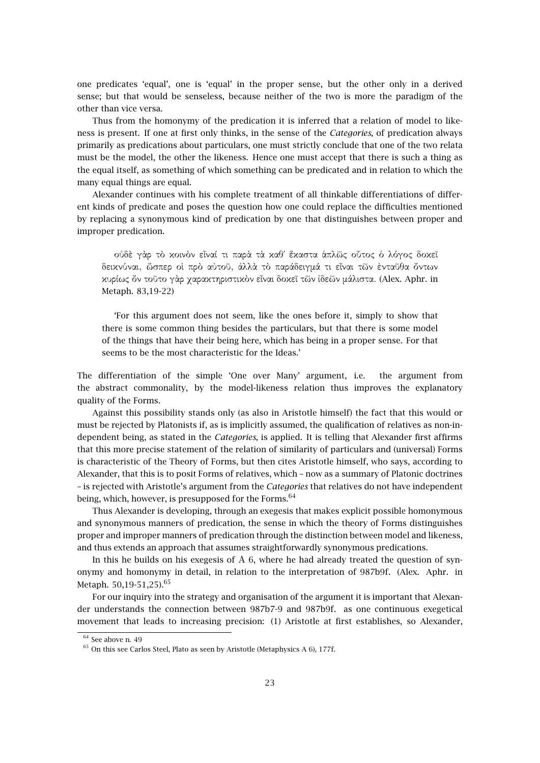one predicates 'equal', one is 'equal' in the proper sense, but the other only in a derived sense; but that would be senseless, because neither of the two is more the paradigm of the other than vice versa.

Thus from the homonymy of the predication it is inferred that a relation of model to likeness is present. If one at first only thinks, in the sense of the *Categories*, of predication always primarily as predications about particulars, one must strictly conclude that one of the two relata must be the model, the other the likeness. Hence one must accept that there is such a thing as the equal itself, as something of which something can be predicated and in relation to which the many equal things are equal.

Alexander continues with his complete treatment of all thinkable differentiations of different kinds of predicate and poses the question how one could replace the difficulties mentioned by replacing a synonymous kind of predication by one that distinguishes between proper and improper predication.

οὐδὲ γὰρ τὸ κοινὸν εἶναί τι παρὰ τὰ καθ΄ ἕκαστα ἁπλῶς οὗτος ὁ λόγος δοκεῖ δεικνύναι, ὥσπερ οἱ πρὸ αὐτοῦ, ἀλλὰ τὸ παράδειγµά τι εἶναι τῶν ἐνταῦθα ὄντων κυρίως ὄν τοῦτο γὰρ χαρακτηριστικὸν εἶναι δοκεῖ τῶν ἰδεῶν µάλιστα. (Alex. Aphr. in Metaph. 83,19-22)

'For this argument does not seem, like the ones before it, simply to show that there is some common thing besides the particulars, but that there is some model of the things that have their being here, which has being in a proper sense. For that seems to be the most characteristic for the Ideas.'

The differentiation of the simple 'One over Many' argument, i.e. the argument from the abstract commonality, by the model-likeness relation thus improves the explanatory quality of the Forms.

Against this possibility stands only (as also in Aristotle himself) the fact that this would or must be rejected by Platonists if, as is implicitly assumed, the qualification of relatives as non-independent being, as stated in the *Categories*, is applied. It is telling that Alexander first affirms that this more precise statement of the relation of similarity of particulars and (universal) Forms is characteristic of the Theory of Forms, but then cites Aristotle himself, who says, according to Alexander, that this is to posit Forms of relatives, which – now as a summary of Platonic doctrines – is rejected with Aristotle's argument from the *Categories* that relatives do not have independent being, which, however, is presupposed for the Forms.  $64$ 

Thus Alexander is developing, through an exegesis that makes explicit possible homonymous and synonymous manners of predication, the sense in which the theory of Forms distinguishes proper and improper manners of predication through the distinction between model and likeness, and thus extends an approach that assumes straightforwardly synonymous predications.

In this he builds on his exegesis of Α 6, where he had already treated the question of synonymy and homonymy in detail, in relation to the interpretation of 987b9f. (Alex. Aphr. in Metaph.  $50,19-51,25$ ).<sup>65</sup>

For our inquiry into the strategy and organisation of the argument it is important that Alexander understands the connection between 987b7-9 and 987b9f. as one continuous exegetical movement that leads to increasing precision: (1) Aristotle at first establishes, so Alexander,

 $64$  See above n. 49

 $^{65}$  On this see Carlos Steel, Plato as seen by Aristotle (Metaphysics A 6), 177f.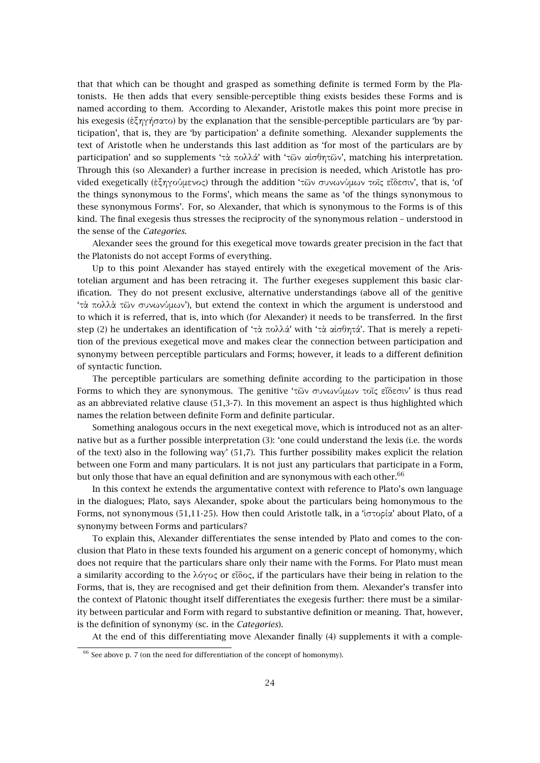that that which can be thought and grasped as something definite is termed Form by the Platonists. He then adds that every sensible-perceptible thing exists besides these Forms and is named according to them. According to Alexander, Aristotle makes this point more precise in his exegesis (ἐξηγήσατο) by the explanation that the sensible-perceptible particulars are 'by participation', that is, they are 'by participation' a definite something. Alexander supplements the text of Aristotle when he understands this last addition as 'for most of the particulars are by participation' and so supplements 'τὰ πολλά' with 'τῶν αἰσθητῶν', matching his interpretation. Through this (so Alexander) a further increase in precision is needed, which Aristotle has provided exegetically (ἐξηγούµενος) through the addition 'τῶν συνωνύµων τοῖς εἴδεσιν', that is, 'of the things synonymous to the Forms', which means the same as 'of the things synonymous to these synonymous Forms'. For, so Alexander, that which is synonymous to the Forms is of this kind. The final exegesis thus stresses the reciprocity of the synonymous relation – understood in the sense of the *Categories*.

Alexander sees the ground for this exegetical move towards greater precision in the fact that the Platonists do not accept Forms of everything.

Up to this point Alexander has stayed entirely with the exegetical movement of the Aristotelian argument and has been retracing it. The further exegeses supplement this basic clarification. They do not present exclusive, alternative understandings (above all of the genitive 'τὰ πολλὰ τῶν συνωνύµων'), but extend the context in which the argument is understood and to which it is referred, that is, into which (for Alexander) it needs to be transferred. In the first step (2) he undertakes an identification of 'τὰ πολλά' with 'τὰ αἰσθητά'. That is merely a repetition of the previous exegetical move and makes clear the connection between participation and synonymy between perceptible particulars and Forms; however, it leads to a different definition of syntactic function.

The perceptible particulars are something definite according to the participation in those Forms to which they are synonymous. The genitive 'τῶν συνωνύµων τοῖς εἴδεσιν' is thus read as an abbreviated relative clause (51,3-7). In this movement an aspect is thus highlighted which names the relation between definite Form and definite particular.

Something analogous occurs in the next exegetical move, which is introduced not as an alternative but as a further possible interpretation (3): 'one could understand the lexis (i.e. the words of the text) also in the following way' (51,7). This further possibility makes explicit the relation between one Form and many particulars. It is not just any particulars that participate in a Form, but only those that have an equal definition and are synonymous with each other. $66$ 

In this context he extends the argumentative context with reference to Plato's own language in the dialogues; Plato, says Alexander, spoke about the particulars being homonymous to the Forms, not synonymous (51,11-25). How then could Aristotle talk, in a 'ἱστορία' about Plato, of a synonymy between Forms and particulars?

To explain this, Alexander differentiates the sense intended by Plato and comes to the conclusion that Plato in these texts founded his argument on a generic concept of homonymy, which does not require that the particulars share only their name with the Forms. For Plato must mean a similarity according to the λόγος or εΐδος, if the particulars have their being in relation to the Forms, that is, they are recognised and get their definition from them. Alexander's transfer into the context of Platonic thought itself differentiates the exegesis further: there must be a similarity between particular and Form with regard to substantive definition or meaning. That, however, is the definition of synonymy (sc. in the *Categories*).

At the end of this differentiating move Alexander finally (4) supplements it with a comple-

 $66$  See above p. 7 (on the need for differentiation of the concept of homonymy).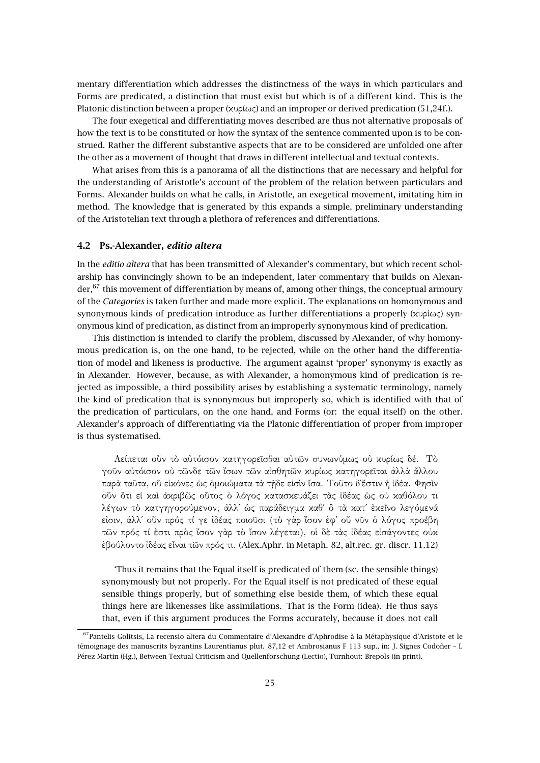mentary differentiation which addresses the distinctness of the ways in which particulars and Forms are predicated, a distinction that must exist but which is of a different kind. This is the Platonic distinction between a proper (κυρίως) and an improper or derived predication (51,24f.).

The four exegetical and differentiating moves described are thus not alternative proposals of how the text is to be constituted or how the syntax of the sentence commented upon is to be construed. Rather the different substantive aspects that are to be considered are unfolded one after the other as a movement of thought that draws in different intellectual and textual contexts.

What arises from this is a panorama of all the distinctions that are necessary and helpful for the understanding of Aristotle's account of the problem of the relation between particulars and Forms. Alexander builds on what he calls, in Aristotle, an exegetical movement, imitating him in method. The knowledge that is generated by this expands a simple, preliminary understanding of the Aristotelian text through a plethora of references and differentiations.

#### **4.2 Ps.-Alexander,** *editio altera*

In the *editio altera* that has been transmitted of Alexander's commentary, but which recent scholarship has convincingly shown to be an independent, later commentary that builds on Alexan $der<sub>1</sub><sup>67</sup>$  this movement of differentiation by means of, among other things, the conceptual armoury of the *Categories* is taken further and made more explicit. The explanations on homonymous and synonymous kinds of predication introduce as further differentiations a properly (κυρίως) synonymous kind of predication, as distinct from an improperly synonymous kind of predication.

This distinction is intended to clarify the problem, discussed by Alexander, of why homonymous predication is, on the one hand, to be rejected, while on the other hand the differentiation of model and likeness is productive. The argument against 'proper' synonymy is exactly as in Alexander. However, because, as with Alexander, a homonymous kind of predication is rejected as impossible, a third possibility arises by establishing a systematic terminology, namely the kind of predication that is synonymous but improperly so, which is identified with that of the predication of particulars, on the one hand, and Forms (or: the equal itself) on the other. Alexander's approach of differentiating via the Platonic differentiation of proper from improper is thus systematised.

Λείπεται οὖν τὸ αὐτόισον κατηγορεῖσθαι αὐτῶν συνωνύµως οὐ κυρίως δέ. Τὸ γοῦν αὐτόισον οὐ τῶνδε τῶν ἴσων τῶν αἰσθητῶν κυρίως κατηγορεῖται ἀλλὰ ἄλλου παρὰ ταῦτα, οὗ εἰκόνες ὡς ὁµοιώµατα τὰ τῇδε εἰσὶν ἴσα. Τοῦτο δ`ἔστιν ἡ ἰδέα. Φησὶν οὖν ὅτι εἰ καὶ ἀκριβῶς οὗτος ὁ λόγος κατασκευάζει τὰς ἰδέας ὡς οὐ καθόλου τι λέγων τὸ κατγηγορούµενον, ἀλλ΄ ὡς παράδειγµα καθ΄ ὃ τὰ κατ΄ ἐκεῖνο λεγόµενά εἰσιν, ἀλλ΄ οὖν πρός τί γε ἰδέας ποιοῦσι (τὸ γὰρ ἴσον ἐφ΄ οὗ νῦν ὁ λόγος προέβη τῶν πρός τί ἐστι πρὸς ἴσον γὰρ τὸ ἴσον λέγεται), οἱ δὲ τὰς ἰδέας εἰσάγοντες οὐκ ἐβούλοντο ἰδέας εἶναι τῶν πρός τι. (Alex.Aphr. in Metaph. 82, alt.rec. gr. discr. 11.12)

'Thus it remains that the Equal itself is predicated of them (sc. the sensible things) synonymously but not properly. For the Equal itself is not predicated of these equal sensible things properly, but of something else beside them, of which these equal things here are likenesses like assimilations. That is the Form (idea). He thus says that, even if this argument produces the Forms accurately, because it does not call

<sup>67</sup>Pantelis Golitsis, La recensio altera du Commentaire d'Alexandre d'Aphrodise à la Métaphysique d'Aristote et le témoignage des manuscrits byzantins Laurentianus plut. 87,12 et Ambrosianus F 113 sup., in: J. Signes Codoñer – I. Pérez Martin (Hg.), Between Textual Criticism and Quellenforschung (Lectio), Turnhout: Brepols (in print).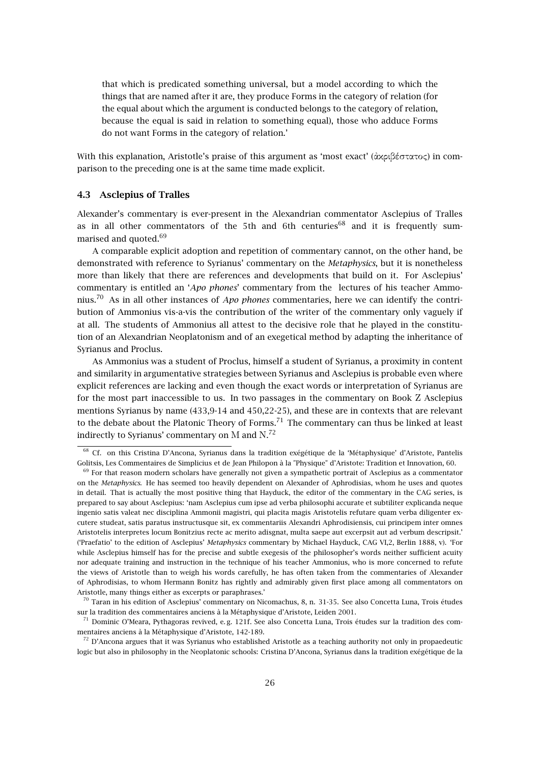that which is predicated something universal, but a model according to which the things that are named after it are, they produce Forms in the category of relation (for the equal about which the argument is conducted belongs to the category of relation, because the equal is said in relation to something equal), those who adduce Forms do not want Forms in the category of relation.'

With this explanation, Aristotle's praise of this argument as 'most exact' (ἀκριβέστατος) in comparison to the preceding one is at the same time made explicit.

#### **4.3 Asclepius of Tralles**

Alexander's commentary is ever-present in the Alexandrian commentator Asclepius of Tralles as in all other commentators of the 5th and 6th centuries<sup>68</sup> and it is frequently summarised and quoted.<sup>69</sup>

A comparable explicit adoption and repetition of commentary cannot, on the other hand, be demonstrated with reference to Syrianus' commentary on the *Metaphysics*, but it is nonetheless more than likely that there are references and developments that build on it. For Asclepius' commentary is entitled an '*Apo phones*' commentary from the lectures of his teacher Ammonius.<sup>70</sup> As in all other instances of *Apo phones* commentaries, here we can identify the contribution of Ammonius vis-a-vis the contribution of the writer of the commentary only vaguely if at all. The students of Ammonius all attest to the decisive role that he played in the constitution of an Alexandrian Neoplatonism and of an exegetical method by adapting the inheritance of Syrianus and Proclus.

As Ammonius was a student of Proclus, himself a student of Syrianus, a proximity in content and similarity in argumentative strategies between Syrianus and Asclepius is probable even where explicit references are lacking and even though the exact words or interpretation of Syrianus are for the most part inaccessible to us. In two passages in the commentary on Book Ζ Asclepius mentions Syrianus by name (433,9-14 and 450,22-25), and these are in contexts that are relevant to the debate about the Platonic Theory of Forms.<sup>71</sup> The commentary can thus be linked at least indirectly to Syrianus' commentary on M and  $\mathrm{N.}^{72}$ 

<sup>68</sup> Cf. on this Cristina D'Ancona, Syrianus dans la tradition exégétique de la 'Métaphysique' d'Aristote, Pantelis Golitsis, Les Commentaires de Simplicius et de Jean Philopon à la "Physique" d'Aristote: Tradition et Innovation, 60.

 $69$  For that reason modern scholars have generally not given a sympathetic portrait of Asclepius as a commentator on the *Metaphysics*. He has seemed too heavily dependent on Alexander of Aphrodisias, whom he uses and quotes in detail. That is actually the most positive thing that Hayduck, the editor of the commentary in the CAG series, is prepared to say about Asclepius: 'nam Asclepius cum ipse ad verba philosophi accurate et subtiliter explicanda neque ingenio satis valeat nec disciplina Ammonii magistri, qui placita magis Aristotelis refutare quam verba diligenter excutere studeat, satis paratus instructusque sit, ex commentariis Alexandri Aphrodisiensis, cui principem inter omnes Aristotelis interpretes locum Bonitzius recte ac merito adisgnat, multa saepe aut excerpsit aut ad verbum descripsit.' ('Praefatio' to the edition of Asclepius' *Metaphysics* commentary by Michael Hayduck, CAG VI,2, Berlin 1888, v). 'For while Asclepius himself has for the precise and subtle exegesis of the philosopher's words neither sufficient acuity nor adequate training and instruction in the technique of his teacher Ammonius, who is more concerned to refute the views of Aristotle than to weigh his words carefully, he has often taken from the commentaries of Alexander of Aphrodisias, to whom Hermann Bonitz has rightly and admirably given first place among all commentators on Aristotle, many things either as excerpts or paraphrases.'

 $^{70}$  Taran in his edition of Asclepius' commentary on Nicomachus, 8, n. 31-35. See also Concetta Luna, Trois études sur la tradition des commentaires anciens à la Métaphysique d'Aristote, Leiden 2001.

 $^{71}$  Dominic O'Meara, Pythagoras revived, e.g. 121f. See also Concetta Luna, Trois études sur la tradition des commentaires anciens à la Métaphysique d'Aristote, 142-189.

 $72$  D'Ancona argues that it was Syrianus who established Aristotle as a teaching authority not only in propaedeutic logic but also in philosophy in the Neoplatonic schools: Cristina D'Ancona, Syrianus dans la tradition exégétique de la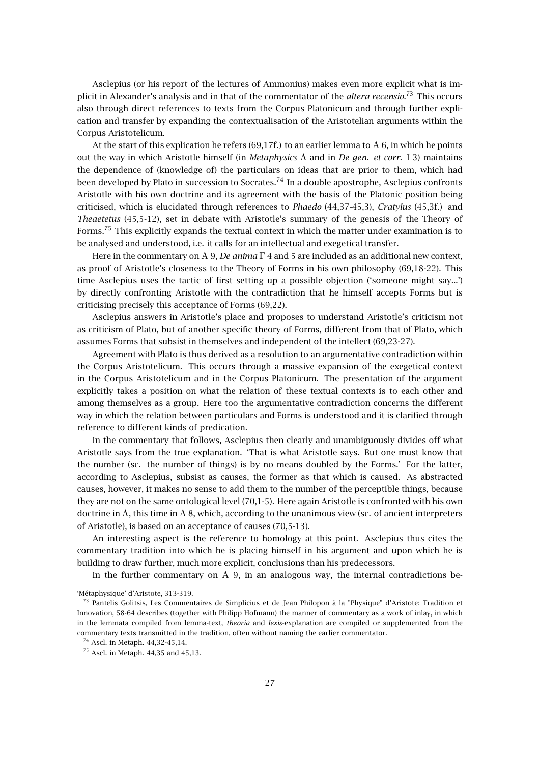Asclepius (or his report of the lectures of Ammonius) makes even more explicit what is implicit in Alexander's analysis and in that of the commentator of the *altera recensio*. <sup>73</sup> This occurs also through direct references to texts from the Corpus Platonicum and through further explication and transfer by expanding the contextualisation of the Aristotelian arguments within the Corpus Aristotelicum.

At the start of this explication he refers (69,17f.) to an earlier lemma to Α 6, in which he points out the way in which Aristotle himself (in *Metaphysics* Λ and in *De gen. et corr*. I 3) maintains the dependence of (knowledge of) the particulars on ideas that are prior to them, which had been developed by Plato in succession to Socrates.<sup>74</sup> In a double apostrophe, Asclepius confronts Aristotle with his own doctrine and its agreement with the basis of the Platonic position being criticised, which is elucidated through references to *Phaedo* (44,37-45,3), *Cratylus* (45,3f.) and *Theaetetus* (45,5-12), set in debate with Aristotle's summary of the genesis of the Theory of Forms.<sup>75</sup> This explicitly expands the textual context in which the matter under examination is to be analysed and understood, i.e. it calls for an intellectual and exegetical transfer.

Here in the commentary on Α 9, *De anima* Γ 4 and 5 are included as an additional new context, as proof of Aristotle's closeness to the Theory of Forms in his own philosophy (69,18-22). This time Asclepius uses the tactic of first setting up a possible objection ('someone might say...') by directly confronting Aristotle with the contradiction that he himself accepts Forms but is criticising precisely this acceptance of Forms (69,22).

Asclepius answers in Aristotle's place and proposes to understand Aristotle's criticism not as criticism of Plato, but of another specific theory of Forms, different from that of Plato, which assumes Forms that subsist in themselves and independent of the intellect (69,23-27).

Agreement with Plato is thus derived as a resolution to an argumentative contradiction within the Corpus Aristotelicum. This occurs through a massive expansion of the exegetical context in the Corpus Aristotelicum and in the Corpus Platonicum. The presentation of the argument explicitly takes a position on what the relation of these textual contexts is to each other and among themselves as a group. Here too the argumentative contradiction concerns the different way in which the relation between particulars and Forms is understood and it is clarified through reference to different kinds of predication.

In the commentary that follows, Asclepius then clearly and unambiguously divides off what Aristotle says from the true explanation. 'That is what Aristotle says. But one must know that the number (sc. the number of things) is by no means doubled by the Forms.' For the latter, according to Asclepius, subsist as causes, the former as that which is caused. As abstracted causes, however, it makes no sense to add them to the number of the perceptible things, because they are not on the same ontological level (70,1-5). Here again Aristotle is confronted with his own doctrine in  $\Lambda$ , this time in  $\Lambda$  8, which, according to the unanimous view (sc. of ancient interpreters of Aristotle), is based on an acceptance of causes (70,5-13).

An interesting aspect is the reference to homology at this point. Asclepius thus cites the commentary tradition into which he is placing himself in his argument and upon which he is building to draw further, much more explicit, conclusions than his predecessors.

In the further commentary on Α 9, in an analogous way, the internal contradictions be-

<sup>&#</sup>x27;Métaphysique' d'Aristote, 313-319.

<sup>73</sup> Pantelis Golitsis, Les Commentaires de Simplicius et de Jean Philopon à la "Physique" d'Aristote: Tradition et Innovation, 58-64 describes (together with Philipp Hofmann) the manner of commentary as a work of inlay, in which in the lemmata compiled from lemma-text, *theoria* and *lexis*-explanation are compiled or supplemented from the commentary texts transmitted in the tradition, often without naming the earlier commentator.

<sup>74</sup> Ascl. in Metaph. 44,32-45,14.

<sup>75</sup> Ascl. in Metaph. 44,35 and 45,13.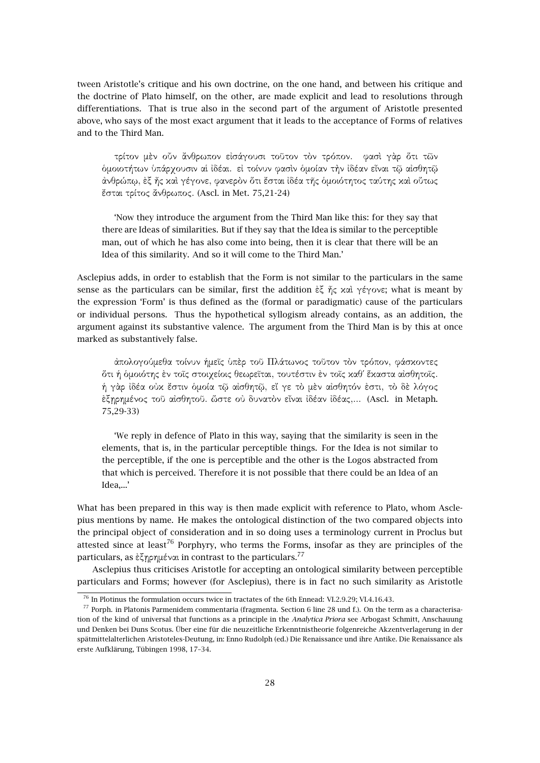tween Aristotle's critique and his own doctrine, on the one hand, and between his critique and the doctrine of Plato himself, on the other, are made explicit and lead to resolutions through differentiations. That is true also in the second part of the argument of Aristotle presented above, who says of the most exact argument that it leads to the acceptance of Forms of relatives and to the Third Man.

τρίτον µὲν οὖν ἄνθρωπον εἰσάγουσι τοῦτον τὸν τρόπον. φασὶ γὰρ ὅτι τῶν ὁµοιοτήτων ὑπάρχουσιν αἱ ἰδέαι. εἰ τοίνυν φασὶν ὁµοίαν τὴν ἰδέαν εἶναι τῷ αἰσθητῷ ἀνθρώπῳ, ἐξ ἧς καὶ γέγονε, φανερὸν ὅτι ἔσται ἰδέα τῆς ὁµοιότητος ταύτης καὶ οὕτως ἔσται τρίτος ἄνθρωπος. (Ascl. in Met. 75,21-24)

'Now they introduce the argument from the Third Man like this: for they say that there are Ideas of similarities. But if they say that the Idea is similar to the perceptible man, out of which he has also come into being, then it is clear that there will be an Idea of this similarity. And so it will come to the Third Man.'

Asclepius adds, in order to establish that the Form is not similar to the particulars in the same sense as the particulars can be similar, first the addition ἐξ ἧς καὶ γέγονε; what is meant by the expression 'Form' is thus defined as the (formal or paradigmatic) cause of the particulars or individual persons. Thus the hypothetical syllogism already contains, as an addition, the argument against its substantive valence. The argument from the Third Man is by this at once marked as substantively false.

ἀπολογούµεθα τοίνυν ἡµεῖς ὑπὲρ τοῦ Πλάτωνος τοῦτον τὸν τρόπον, φάσκοντες ὅτι ἡ ὁµοιότης ἐν τοῖς στοιχείοις θεωρεῖται, τουτέστιν ἐν τοῖς καθ΄ ἕκαστα αἰσθητοῖς. ἡ γὰρ ἰδέα οὐκ ἔστιν ὁµοία τῷ αἰσθητῷ, εἴ γε τὸ µὲν αἰσθητόν ἐστι, τὸ δὲ λόγος ἐξῃρηµένος τοῦ αἰσθητοῦ. ὥστε οὐ δυνατὸν εἶναι ἰδέαν ἰδέας,... (Ascl. in Metaph. 75,29-33)

'We reply in defence of Plato in this way, saying that the similarity is seen in the elements, that is, in the particular perceptible things. For the Idea is not similar to the perceptible, if the one is perceptible and the other is the Logos abstracted from that which is perceived. Therefore it is not possible that there could be an Idea of an Idea,...'

What has been prepared in this way is then made explicit with reference to Plato, whom Asclepius mentions by name. He makes the ontological distinction of the two compared objects into the principal object of consideration and in so doing uses a terminology current in Proclus but attested since at least<sup>76</sup> Porphyry, who terms the Forms, insofar as they are principles of the particulars, as ἐξηρημέναι in contrast to the particulars.<sup>77</sup>

Asclepius thus criticises Aristotle for accepting an ontological similarity between perceptible particulars and Forms; however (for Asclepius), there is in fact no such similarity as Aristotle

<sup>&</sup>lt;sup>76</sup> In Plotinus the formulation occurs twice in tractates of the 6th Ennead: VI.2.9.29; VI.4.16.43.

 $77$  Porph. in Platonis Parmenidem commentaria (fragmenta. Section 6 line 28 und f.). On the term as a characterisation of the kind of universal that functions as a principle in the *Analytica Priora* see Arbogast Schmitt, Anschauung und Denken bei Duns Scotus. Über eine für die neuzeitliche Erkenntnistheorie folgenreiche Akzentverlagerung in der spätmittelalterlichen Aristoteles-Deutung, in: Enno Rudolph (ed.) Die Renaissance und ihre Antike. Die Renaissance als erste Aufklärung, Tübingen 1998, 17–34.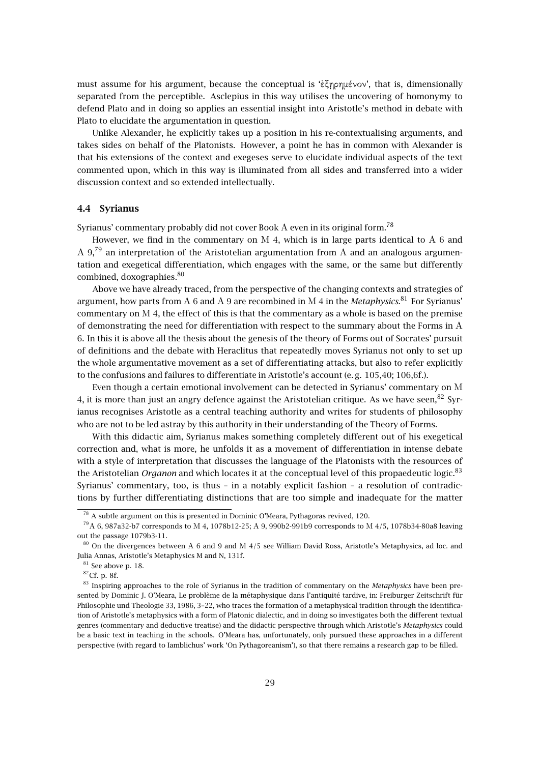must assume for his argument, because the conceptual is 'ἐξῃρηµένον', that is, dimensionally separated from the perceptible. Asclepius in this way utilises the uncovering of homonymy to defend Plato and in doing so applies an essential insight into Aristotle's method in debate with Plato to elucidate the argumentation in question.

Unlike Alexander, he explicitly takes up a position in his re-contextualising arguments, and takes sides on behalf of the Platonists. However, a point he has in common with Alexander is that his extensions of the context and exegeses serve to elucidate individual aspects of the text commented upon, which in this way is illuminated from all sides and transferred into a wider discussion context and so extended intellectually.

### **4.4 Syrianus**

Syrianus' commentary probably did not cover Book A even in its original form.<sup>78</sup>

However, we find in the commentary on M 4, which is in large parts identical to A 6 and Α 9,<sup>79</sup> an interpretation of the Aristotelian argumentation from Α and an analogous argumentation and exegetical differentiation, which engages with the same, or the same but differently combined, doxographies.<sup>80</sup>

Above we have already traced, from the perspective of the changing contexts and strategies of argument, how parts from Α 6 and Α 9 are recombined in Μ 4 in the *Metaphysics*. <sup>81</sup> For Syrianus' commentary on Μ 4, the effect of this is that the commentary as a whole is based on the premise of demonstrating the need for differentiation with respect to the summary about the Forms in Α 6. In this it is above all the thesis about the genesis of the theory of Forms out of Socrates' pursuit of definitions and the debate with Heraclitus that repeatedly moves Syrianus not only to set up the whole argumentative movement as a set of differentiating attacks, but also to refer explicitly to the confusions and failures to differentiate in Aristotle's account (e. g. 105,40; 106,6f.).

Even though a certain emotional involvement can be detected in Syrianus' commentary on Μ 4, it is more than just an angry defence against the Aristotelian critique. As we have seen,  $82$  Syrianus recognises Aristotle as a central teaching authority and writes for students of philosophy who are not to be led astray by this authority in their understanding of the Theory of Forms.

With this didactic aim, Syrianus makes something completely different out of his exegetical correction and, what is more, he unfolds it as a movement of differentiation in intense debate with a style of interpretation that discusses the language of the Platonists with the resources of the Aristotelian *Organon* and which locates it at the conceptual level of this propaedeutic logic.<sup>83</sup> Syrianus' commentary, too, is thus – in a notably explicit fashion – a resolution of contradictions by further differentiating distinctions that are too simple and inadequate for the matter

<sup>78</sup> A subtle argument on this is presented in Dominic O'Meara, Pythagoras revived, 120.

<sup>79</sup>Α 6, 987a32-b7 corresponds to Μ 4, 1078b12-25; Α 9, 990b2-991b9 corresponds to Μ 4/5, 1078b34-80a8 leaving out the passage 1079b3-11.

<sup>80</sup> On the divergences between Α 6 and 9 and Μ 4/5 see William David Ross, Aristotle's Metaphysics, ad loc. and Julia Annas, Aristotle's Metaphysics M and N, 131f.

 $81$  See above p. 18.

 ${}^{82}$ Cf. p. 8f.

<sup>83</sup> Inspiring approaches to the role of Syrianus in the tradition of commentary on the *Metaphysics* have been presented by Dominic J. O'Meara, Le problème de la métaphysique dans l'antiquité tardive, in: Freiburger Zeitschrift für Philosophie und Theologie 33, 1986, 3–22, who traces the formation of a metaphysical tradition through the identification of Aristotle's metaphysics with a form of Platonic dialectic, and in doing so investigates both the different textual genres (commentary and deductive treatise) and the didactic perspective through which Aristotle's *Metaphysics* could be a basic text in teaching in the schools. O'Meara has, unfortunately, only pursued these approaches in a different perspective (with regard to Iamblichus' work 'On Pythagoreanism'), so that there remains a research gap to be filled.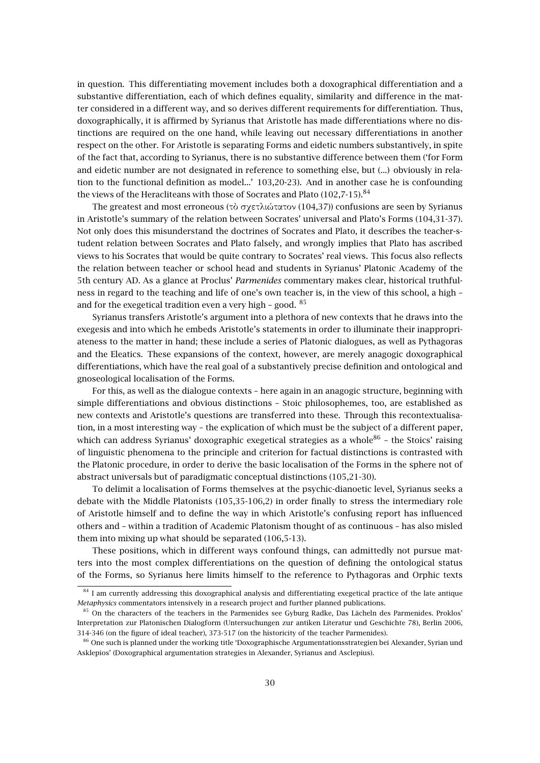in question. This differentiating movement includes both a doxographical differentiation and a substantive differentiation, each of which defines equality, similarity and difference in the matter considered in a different way, and so derives different requirements for differentiation. Thus, doxographically, it is affirmed by Syrianus that Aristotle has made differentiations where no distinctions are required on the one hand, while leaving out necessary differentiations in another respect on the other. For Aristotle is separating Forms and eidetic numbers substantively, in spite of the fact that, according to Syrianus, there is no substantive difference between them ('for Form and eidetic number are not designated in reference to something else, but (...) obviously in relation to the functional definition as model...' 103,20-23). And in another case he is confounding the views of the Heracliteans with those of Socrates and Plato  $(102,7-15)$ .<sup>84</sup>

The greatest and most erroneous (τὸ σχετλιώτατον (104,37)) confusions are seen by Syrianus in Aristotle's summary of the relation between Socrates' universal and Plato's Forms (104,31-37). Not only does this misunderstand the doctrines of Socrates and Plato, it describes the teacher-student relation between Socrates and Plato falsely, and wrongly implies that Plato has ascribed views to his Socrates that would be quite contrary to Socrates' real views. This focus also reflects the relation between teacher or school head and students in Syrianus' Platonic Academy of the 5th century AD. As a glance at Proclus' *Parmenides* commentary makes clear, historical truthfulness in regard to the teaching and life of one's own teacher is, in the view of this school, a high – and for the exegetical tradition even a very high - good.  $85$ 

Syrianus transfers Aristotle's argument into a plethora of new contexts that he draws into the exegesis and into which he embeds Aristotle's statements in order to illuminate their inappropriateness to the matter in hand; these include a series of Platonic dialogues, as well as Pythagoras and the Eleatics. These expansions of the context, however, are merely anagogic doxographical differentiations, which have the real goal of a substantively precise definition and ontological and gnoseological localisation of the Forms.

For this, as well as the dialogue contexts – here again in an anagogic structure, beginning with simple differentiations and obvious distinctions – Stoic philosophemes, too, are established as new contexts and Aristotle's questions are transferred into these. Through this recontextualisation, in a most interesting way – the explication of which must be the subject of a different paper, which can address Syrianus' doxographic exegetical strategies as a whole $^{86}$  - the Stoics' raising of linguistic phenomena to the principle and criterion for factual distinctions is contrasted with the Platonic procedure, in order to derive the basic localisation of the Forms in the sphere not of abstract universals but of paradigmatic conceptual distinctions (105,21-30).

To delimit a localisation of Forms themselves at the psychic-dianoetic level, Syrianus seeks a debate with the Middle Platonists (105,35-106,2) in order finally to stress the intermediary role of Aristotle himself and to define the way in which Aristotle's confusing report has influenced others and – within a tradition of Academic Platonism thought of as continuous – has also misled them into mixing up what should be separated (106,5-13).

These positions, which in different ways confound things, can admittedly not pursue matters into the most complex differentiations on the question of defining the ontological status of the Forms, so Syrianus here limits himself to the reference to Pythagoras and Orphic texts

<sup>&</sup>lt;sup>84</sup> I am currently addressing this doxographical analysis and differentiating exegetical practice of the late antique *Metaphysics* commentators intensively in a research project and further planned publications.

 $85$  On the characters of the teachers in the Parmenides see Gyburg Radke, Das Lächeln des Parmenides. Proklos' Interpretation zur Platonischen Dialogform (Untersuchungen zur antiken Literatur und Geschichte 78), Berlin 2006, 314-346 (on the figure of ideal teacher), 373-517 (on the historicity of the teacher Parmenides).

<sup>&</sup>lt;sup>86</sup> One such is planned under the working title 'Doxographische Argumentationsstrategien bei Alexander, Syrian und Asklepios' (Doxographical argumentation strategies in Alexander, Syrianus and Asclepius).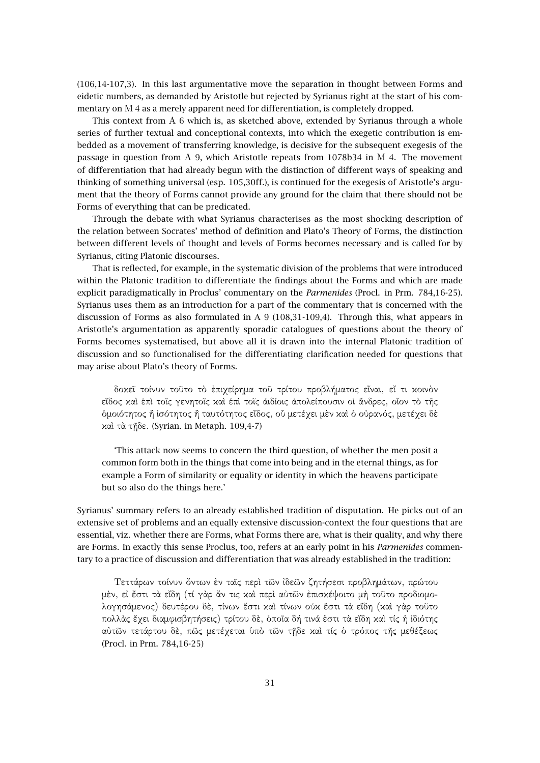(106,14-107,3). In this last argumentative move the separation in thought between Forms and eidetic numbers, as demanded by Aristotle but rejected by Syrianus right at the start of his commentary on Μ 4 as a merely apparent need for differentiation, is completely dropped.

This context from Α 6 which is, as sketched above, extended by Syrianus through a whole series of further textual and conceptional contexts, into which the exegetic contribution is embedded as a movement of transferring knowledge, is decisive for the subsequent exegesis of the passage in question from Α 9, which Aristotle repeats from 1078b34 in Μ 4. The movement of differentiation that had already begun with the distinction of different ways of speaking and thinking of something universal (esp. 105,30ff.), is continued for the exegesis of Aristotle's argument that the theory of Forms cannot provide any ground for the claim that there should not be Forms of everything that can be predicated.

Through the debate with what Syrianus characterises as the most shocking description of the relation between Socrates' method of definition and Plato's Theory of Forms, the distinction between different levels of thought and levels of Forms becomes necessary and is called for by Syrianus, citing Platonic discourses.

That is reflected, for example, in the systematic division of the problems that were introduced within the Platonic tradition to differentiate the findings about the Forms and which are made explicit paradigmatically in Proclus' commentary on the *Parmenides* (Procl. in Prm. 784,16-25). Syrianus uses them as an introduction for a part of the commentary that is concerned with the discussion of Forms as also formulated in A 9 (108,31-109,4). Through this, what appears in Aristotle's argumentation as apparently sporadic catalogues of questions about the theory of Forms becomes systematised, but above all it is drawn into the internal Platonic tradition of discussion and so functionalised for the differentiating clarification needed for questions that may arise about Plato's theory of Forms.

δοκεῖ τοίνυν τοῦτο τὸ ἐπιχείρηµα τοῦ τρίτου προβλήµατος εἶναι, εἴ τι κοινὸν εἶδος καὶ ἐπὶ τοῖς γενητοῖς καὶ ἐπὶ τοῖς ἀιδίοις ἀπολείπουσιν οἱ ἄνδρες, οἷον τὸ τῆς ὁµοιότητος ἢ ἰσότητος ἢ ταυτότητος εἶδος, οὗ µετέχει µὲν καὶ ὁ οὐρανός, µετέχει δὲ καὶ τὰ τῇδε. (Syrian. in Metaph. 109,4-7)

'This attack now seems to concern the third question, of whether the men posit a common form both in the things that come into being and in the eternal things, as for example a Form of similarity or equality or identity in which the heavens participate but so also do the things here.'

Syrianus' summary refers to an already established tradition of disputation. He picks out of an extensive set of problems and an equally extensive discussion-context the four questions that are essential, viz. whether there are Forms, what Forms there are, what is their quality, and why there are Forms. In exactly this sense Proclus, too, refers at an early point in his *Parmenides* commentary to a practice of discussion and differentiation that was already established in the tradition:

Τεττάρων τοίνυν ὄντων ἐν ταῖς περὶ τῶν ἰδεῶν ζητήσεσι προβληµάτων, πρώτου µὲν, εἰ ἔστι τὰ εἴδη (τί γὰρ ἄν τις καὶ περὶ αὐτῶν ἐπισκέψοιτο µὴ τοῦτο προδιοµολογησάµενος) δευτέρου δὲ, τίνων ἔστι καὶ τίνων οὐκ ἔστι τὰ εἴδη (καὶ γὰρ τοῦτο πολλὰς ἔχει διαµφισβητήσεις) τρίτου δὲ, ὁποῖα δή τινά ἐστι τὰ εἴδη καὶ τίς ἡ ἰδιότης αὐτῶν τετάρτου δὲ, πῶς µετέχεται ὑπὸ τῶν τῇδε καὶ τίς ὁ τρόπος τῆς µεθέξεως (Procl. in Prm. 784,16-25)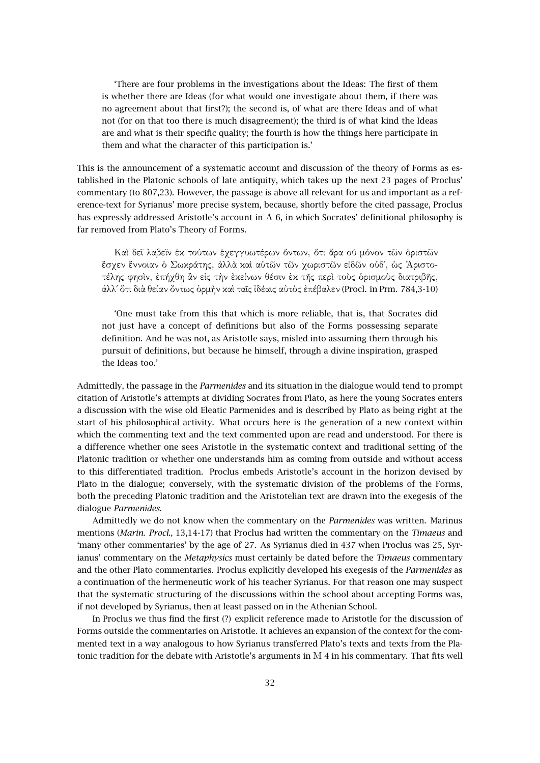'There are four problems in the investigations about the Ideas: The first of them is whether there are Ideas (for what would one investigate about them, if there was no agreement about that first?); the second is, of what are there Ideas and of what not (for on that too there is much disagreement); the third is of what kind the Ideas are and what is their specific quality; the fourth is how the things here participate in them and what the character of this participation is.'

This is the announcement of a systematic account and discussion of the theory of Forms as established in the Platonic schools of late antiquity, which takes up the next 23 pages of Proclus' commentary (to 807,23). However, the passage is above all relevant for us and important as a reference-text for Syrianus' more precise system, because, shortly before the cited passage, Proclus has expressly addressed Aristotle's account in Α 6, in which Socrates' definitional philosophy is far removed from Plato's Theory of Forms.

Καὶ δεῖ λαβεῖν ἐκ τούτων ἐχεγγυωτέρων ὄντων, ὅτι ἄρα οὐ µόνον τῶν ὁριστῶν ἔσχεν ἔννοιαν ὁ Σωκράτης, ἀλλὰ καὶ αὐτῶν τῶν χωριστῶν εἰδῶν οὐδ΄, ὡς ᾿Αριστοτέλης φησὶν, ἐπήχθη ἂν εἰς τὴν ἐκείνων θέσιν ἐκ τῆς περὶ τοὺς ὁρισµοὺς διατριβῆς, ἀλλ΄ ὅτι διὰ θείαν ὄντως ὁρµὴν καὶ ταῖς ἰδέαις αὐτὸς ἐπέβαλεν (Procl. in Prm. 784,3-10)

'One must take from this that which is more reliable, that is, that Socrates did not just have a concept of definitions but also of the Forms possessing separate definition. And he was not, as Aristotle says, misled into assuming them through his pursuit of definitions, but because he himself, through a divine inspiration, grasped the Ideas too.'

Admittedly, the passage in the *Parmenides* and its situation in the dialogue would tend to prompt citation of Aristotle's attempts at dividing Socrates from Plato, as here the young Socrates enters a discussion with the wise old Eleatic Parmenides and is described by Plato as being right at the start of his philosophical activity. What occurs here is the generation of a new context within which the commenting text and the text commented upon are read and understood. For there is a difference whether one sees Aristotle in the systematic context and traditional setting of the Platonic tradition or whether one understands him as coming from outside and without access to this differentiated tradition. Proclus embeds Aristotle's account in the horizon devised by Plato in the dialogue; conversely, with the systematic division of the problems of the Forms, both the preceding Platonic tradition and the Aristotelian text are drawn into the exegesis of the dialogue *Parmenides*.

Admittedly we do not know when the commentary on the *Parmenides* was written. Marinus mentions (*Marin. Procl.*, 13,14-17) that Proclus had written the commentary on the *Timaeus* and 'many other commentaries' by the age of 27. As Syrianus died in 437 when Proclus was 25, Syrianus' commentary on the *Metaphysics* must certainly be dated before the *Timaeus* commentary and the other Plato commentaries. Proclus explicitly developed his exegesis of the *Parmenides* as a continuation of the hermeneutic work of his teacher Syrianus. For that reason one may suspect that the systematic structuring of the discussions within the school about accepting Forms was, if not developed by Syrianus, then at least passed on in the Athenian School.

In Proclus we thus find the first (?) explicit reference made to Aristotle for the discussion of Forms outside the commentaries on Aristotle. It achieves an expansion of the context for the commented text in a way analogous to how Syrianus transferred Plato's texts and texts from the Platonic tradition for the debate with Aristotle's arguments in Μ 4 in his commentary. That fits well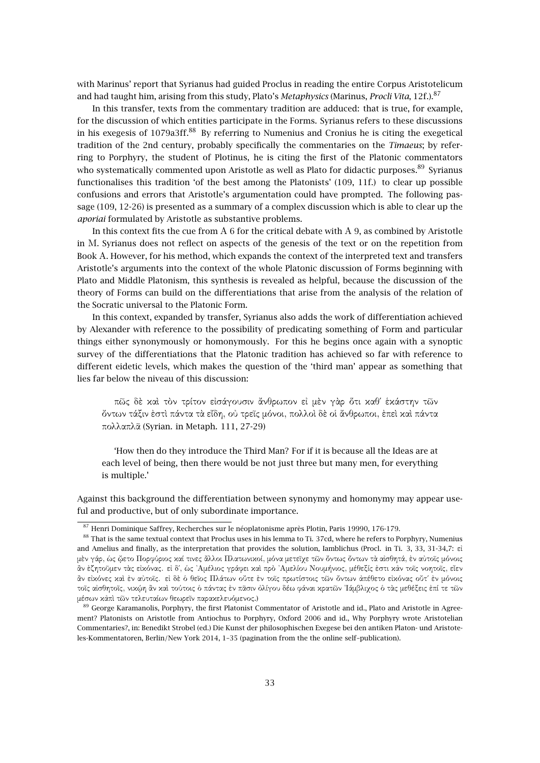with Marinus' report that Syrianus had guided Proclus in reading the entire Corpus Aristotelicum and had taught him, arising from this study, Plato's *Metaphysics* (Marinus, *Procli Vita*, 12f.).<sup>87</sup>

In this transfer, texts from the commentary tradition are adduced: that is true, for example, for the discussion of which entities participate in the Forms. Syrianus refers to these discussions in his exegesis of  $1079a3ff.^8$  By referring to Numenius and Cronius he is citing the exegetical tradition of the 2nd century, probably specifically the commentaries on the *Timaeus*; by referring to Porphyry, the student of Plotinus, he is citing the first of the Platonic commentators who systematically commented upon Aristotle as well as Plato for didactic purposes.<sup>89</sup> Syrianus functionalises this tradition 'of the best among the Platonists' (109, 11f.) to clear up possible confusions and errors that Aristotle's argumentation could have prompted. The following passage (109, 12-26) is presented as a summary of a complex discussion which is able to clear up the *aporiai* formulated by Aristotle as substantive problems.

In this context fits the cue from Α 6 for the critical debate with Α 9, as combined by Aristotle in Μ. Syrianus does not reflect on aspects of the genesis of the text or on the repetition from Book Α. However, for his method, which expands the context of the interpreted text and transfers Aristotle's arguments into the context of the whole Platonic discussion of Forms beginning with Plato and Middle Platonism, this synthesis is revealed as helpful, because the discussion of the theory of Forms can build on the differentiations that arise from the analysis of the relation of the Socratic universal to the Platonic Form.

In this context, expanded by transfer, Syrianus also adds the work of differentiation achieved by Alexander with reference to the possibility of predicating something of Form and particular things either synonymously or homonymously. For this he begins once again with a synoptic survey of the differentiations that the Platonic tradition has achieved so far with reference to different eidetic levels, which makes the question of the 'third man' appear as something that lies far below the niveau of this discussion:

πῶς δὲ καὶ τὸν τρίτον εἰσάγουσιν ἄνθρωπον εἰ µὲν γὰρ ὅτι καθ΄ ἑκάστην τῶν ὄντων τάξιν ἐστὶ πάντα τὰ εἴδη, οὐ τρεῖς µόνοι, πολλοὶ δὲ οἱ ἄνθρωποι, ἐπεὶ καὶ πάντα πολλαπλᾶ (Syrian. in Metaph. 111, 27-29)

'How then do they introduce the Third Man? For if it is because all the Ideas are at each level of being, then there would be not just three but many men, for everything is multiple.'

Against this background the differentiation between synonymy and homonymy may appear useful and productive, but of only subordinate importance.

<sup>87</sup> Henri Dominique Saffrey, Recherches sur le néoplatonisme après Plotin, Paris 19990, 176-179.

<sup>&</sup>lt;sup>88</sup> That is the same textual context that Proclus uses in his lemma to Ti. 37cd, where he refers to Porphyry, Numenius and Amelius and finally, as the interpretation that provides the solution, Iamblichus (Procl. in Ti. 3, 33, 31-34,7: εἰ µὲν γάρ, ὡς ᾤετο Πορφύριος καί τινες ἄλλοι Πλατωνικοί, µόνα µετεῖχε τῶν ὄντως ὄντων τὰ αἰσθητά, ἐν αὐτοῖς µόνοις ἂν ἐζητοῦµεν τὰς εἰκόνας. εἰ δ΄, ὡς ᾿Αµέλιος γράφει καὶ πρὸ ᾿Αµελίου Νουµήνιος, µέθεξίς ἐστι κἀν τοῖς νοητοῖς, εἶεν ἂν εἰκόνες καὶ ἐν αὐτοῖς. εἰ δὲ ὁ θεῖος Πλάτων οὔτε ἐν τοῖς πρωτίστοις τῶν ὄντων ἀπέθετο εἰκόνας οὔτ΄ ἐν µόνοις τοῖς αἰσθητοῖς, νικῴη ἂν καὶ τούτοις ὁ πάντας ἐν πᾶσιν ὀλίγου δέω φάναι κρατῶν ᾿Ιάµβλιχος ὁ τὰς µεθέξεις ἐπί τε τῶν µέσων κἀπὶ τῶν τελευταίων θεωρεῖν παρακελευόµενος.)

<sup>&</sup>lt;sup>89</sup> George Karamanolis, Porphyry, the first Platonist Commentator of Aristotle and id., Plato and Aristotle in Agreement? Platonists on Aristotle from Antiochus to Porphyry, Oxford 2006 and id., Why Porphyry wrote Aristotelian Commentaries?, in: Benedikt Strobel (ed.) Die Kunst der philosophischen Exegese bei den antiken Platon- und Aristoteles-Kommentatoren, Berlin/New York 2014, 1–35 (pagination from the the online self–publication).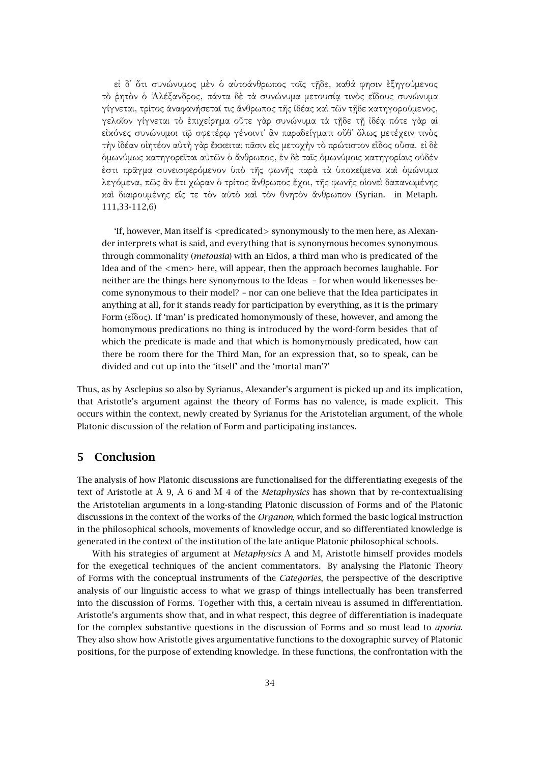εἰ δ΄ ὅτι συνώνυµος µὲν ὁ αὐτοάνθρωπος τοῖς τῇδε, καθά φησιν ἐξηγούµενος τὸ ῥητὸν ὁ ᾿Αλέξανδρος, πάντα δὲ τὰ συνώνυµα µετουσίᾳ τινὸς εἴδους συνώνυµα γίγνεται, τρίτος ἀναφανήσεταί τις ἄνθρωπος τῆς ἰδέας καὶ τῶν τῇδε κατηγορούµενος, γελοῖον γίγνεται τὸ ἐπιχείρηµα οὔτε γὰρ συνώνυµα τὰ τῇδε τῇ ἰδέᾳ πότε γὰρ αἱ εἰκόνες συνώνυµοι τῷ σφετέρῳ γένοιντ΄ ἂν παραδείγµατι οὔθ΄ ὅλως µετέχειν τινὸς τὴν ἰδέαν οἰητέον αὐτὴ γὰρ ἔκκειται πᾶσιν εἰς µετοχὴν τὸ πρώτιστον εἶδος οὖσα. εἰ δὲ ὁµωνύµως κατηγορεῖται αὐτῶν ὁ ἄνθρωπος, ἐν δὲ ταῖς ὁµωνύµοις κατηγορίαις οὐδέν ἐστι πρᾶγµα συνεισφερόµενον ὑπὸ τῆς φωνῆς παρὰ τὰ ὑποκείµενα καὶ ὁµώνυµα λεγόµενα, πῶς ἂν ἔτι χώραν ὁ τρίτος ἄνθρωπος ἔχοι, τῆς φωνῆς οἱονεὶ δαπανωµένης καὶ διαιρουµένης εἴς τε τὸν αὐτὸ καὶ τὸν θνητὸν ἄνθρωπον (Syrian. in Metaph. 111,33-112,6)

'If, however, Man itself is <predicated> synonymously to the men here, as Alexander interprets what is said, and everything that is synonymous becomes synonymous through commonality (*metousia*) with an Eidos, a third man who is predicated of the Idea and of the  $\le$ men $>$ here, will appear, then the approach becomes laughable. For neither are the things here synonymous to the Ideas – for when would likenesses become synonymous to their model? – nor can one believe that the Idea participates in anything at all, for it stands ready for participation by everything, as it is the primary Form (εἶδος). If 'man' is predicated homonymously of these, however, and among the homonymous predications no thing is introduced by the word-form besides that of which the predicate is made and that which is homonymously predicated, how can there be room there for the Third Man, for an expression that, so to speak, can be divided and cut up into the 'itself' and the 'mortal man'?'

Thus, as by Asclepius so also by Syrianus, Alexander's argument is picked up and its implication, that Aristotle's argument against the theory of Forms has no valence, is made explicit. This occurs within the context, newly created by Syrianus for the Aristotelian argument, of the whole Platonic discussion of the relation of Form and participating instances.

# **5 Conclusion**

The analysis of how Platonic discussions are functionalised for the differentiating exegesis of the text of Aristotle at Α 9, Α 6 and Μ 4 of the *Metaphysics* has shown that by re-contextualising the Aristotelian arguments in a long-standing Platonic discussion of Forms and of the Platonic discussions in the context of the works of the *Organon*, which formed the basic logical instruction in the philosophical schools, movements of knowledge occur, and so differentiated knowledge is generated in the context of the institution of the late antique Platonic philosophical schools.

With his strategies of argument at *Metaphysics* Α and Μ, Aristotle himself provides models for the exegetical techniques of the ancient commentators. By analysing the Platonic Theory of Forms with the conceptual instruments of the *Categories*, the perspective of the descriptive analysis of our linguistic access to what we grasp of things intellectually has been transferred into the discussion of Forms. Together with this, a certain niveau is assumed in differentiation. Aristotle's arguments show that, and in what respect, this degree of differentiation is inadequate for the complex substantive questions in the discussion of Forms and so must lead to *aporia*. They also show how Aristotle gives argumentative functions to the doxographic survey of Platonic positions, for the purpose of extending knowledge. In these functions, the confrontation with the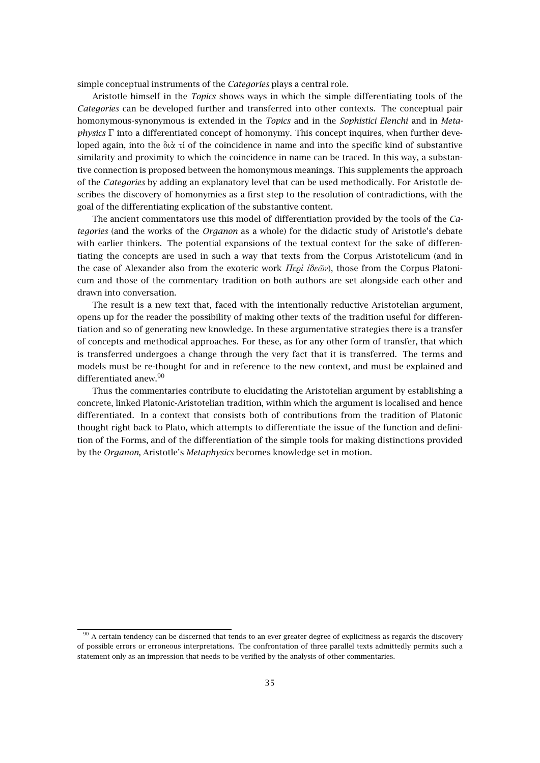simple conceptual instruments of the *Categories* plays a central role.

Aristotle himself in the *Topics* shows ways in which the simple differentiating tools of the *Categories* can be developed further and transferred into other contexts. The conceptual pair homonymous-synonymous is extended in the *Topics* and in the *Sophistici Elenchi* and in *Metaphysics* Γ into a differentiated concept of homonymy. This concept inquires, when further developed again, into the διὰ τί of the coincidence in name and into the specific kind of substantive similarity and proximity to which the coincidence in name can be traced. In this way, a substantive connection is proposed between the homonymous meanings. This supplements the approach of the *Categories* by adding an explanatory level that can be used methodically. For Aristotle describes the discovery of homonymies as a first step to the resolution of contradictions, with the goal of the differentiating explication of the substantive content.

The ancient commentators use this model of differentiation provided by the tools of the *Categories* (and the works of the *Organon* as a whole) for the didactic study of Aristotle's debate with earlier thinkers. The potential expansions of the textual context for the sake of differentiating the concepts are used in such a way that texts from the Corpus Aristotelicum (and in the case of Alexander also from the exoteric work *Περὶ ἰδεῶν*), those from the Corpus Platonicum and those of the commentary tradition on both authors are set alongside each other and drawn into conversation.

The result is a new text that, faced with the intentionally reductive Aristotelian argument, opens up for the reader the possibility of making other texts of the tradition useful for differentiation and so of generating new knowledge. In these argumentative strategies there is a transfer of concepts and methodical approaches. For these, as for any other form of transfer, that which is transferred undergoes a change through the very fact that it is transferred. The terms and models must be re-thought for and in reference to the new context, and must be explained and differentiated anew.<sup>90</sup>

Thus the commentaries contribute to elucidating the Aristotelian argument by establishing a concrete, linked Platonic-Aristotelian tradition, within which the argument is localised and hence differentiated. In a context that consists both of contributions from the tradition of Platonic thought right back to Plato, which attempts to differentiate the issue of the function and definition of the Forms, and of the differentiation of the simple tools for making distinctions provided by the *Organon*, Aristotle's *Metaphysics* becomes knowledge set in motion.

 $90$  A certain tendency can be discerned that tends to an ever greater degree of explicitness as regards the discovery of possible errors or erroneous interpretations. The confrontation of three parallel texts admittedly permits such a statement only as an impression that needs to be verified by the analysis of other commentaries.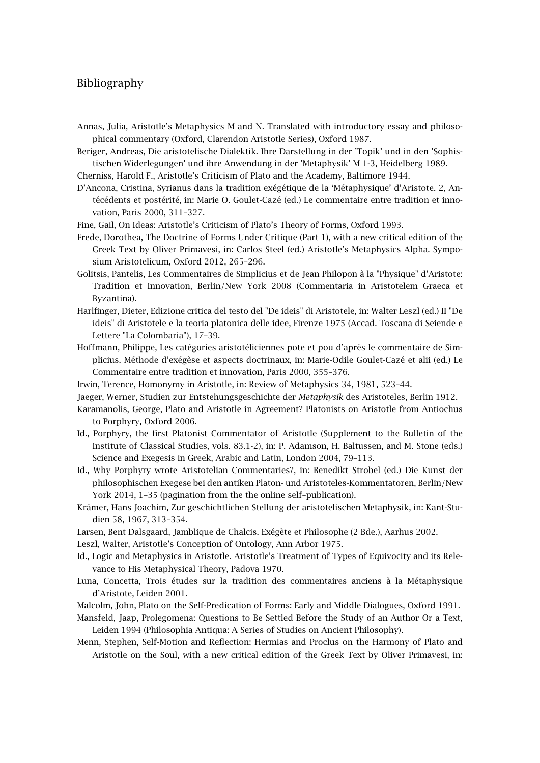# Bibliography

- Annas, Julia, Aristotle's Metaphysics M and N. Translated with introductory essay and philosophical commentary (Oxford, Clarendon Aristotle Series), Oxford 1987.
- Beriger, Andreas, Die aristotelische Dialektik. Ihre Darstellung in der 'Topik' und in den 'Sophistischen Widerlegungen' und ihre Anwendung in der 'Metaphysik' M 1-3, Heidelberg 1989.
- Cherniss, Harold F., Aristotle's Criticism of Plato and the Academy, Baltimore 1944.
- D'Ancona, Cristina, Syrianus dans la tradition exégétique de la 'Métaphysique' d'Aristote. 2, Antécédents et postérité, in: Marie O. Goulet-Cazé (ed.) Le commentaire entre tradition et innovation, Paris 2000, 311–327.
- Fine, Gail, On Ideas: Aristotle's Criticism of Plato's Theory of Forms, Oxford 1993.
- Frede, Dorothea, The Doctrine of Forms Under Critique (Part 1), with a new critical edition of the Greek Text by Oliver Primavesi, in: Carlos Steel (ed.) Aristotle's Metaphysics Alpha. Symposium Aristotelicum, Oxford 2012, 265–296.
- Golitsis, Pantelis, Les Commentaires de Simplicius et de Jean Philopon à la "Physique" d'Aristote: Tradition et Innovation, Berlin/New York 2008 (Commentaria in Aristotelem Graeca et Byzantina).
- Harlfinger, Dieter, Edizione critica del testo del "De ideis" di Aristotele, in: Walter Leszl (ed.) II "De ideis" di Aristotele e la teoria platonica delle idee, Firenze 1975 (Accad. Toscana di Seiende e Lettere "La Colombaria"), 17–39.
- Hoffmann, Philippe, Les catégories aristotéliciennes pote et pou d'après le commentaire de Simplicius. Méthode d'exégèse et aspects doctrinaux, in: Marie-Odile Goulet-Cazé et alii (ed.) Le Commentaire entre tradition et innovation, Paris 2000, 355–376.
- Irwin, Terence, Homonymy in Aristotle, in: Review of Metaphysics 34, 1981, 523–44.
- Jaeger, Werner, Studien zur Entstehungsgeschichte der *Metaphysik* des Aristoteles, Berlin 1912.
- Karamanolis, George, Plato and Aristotle in Agreement? Platonists on Aristotle from Antiochus to Porphyry, Oxford 2006.
- Id., Porphyry, the first Platonist Commentator of Aristotle (Supplement to the Bulletin of the Institute of Classical Studies, vols. 83.1-2), in: P. Adamson, H. Baltussen, and M. Stone (eds.) Science and Exegesis in Greek, Arabic and Latin, London 2004, 79–113.
- Id., Why Porphyry wrote Aristotelian Commentaries?, in: Benedikt Strobel (ed.) Die Kunst der philosophischen Exegese bei den antiken Platon- und Aristoteles-Kommentatoren, Berlin/New York 2014, 1–35 (pagination from the the online self–publication).
- Krämer, Hans Joachim, Zur geschichtlichen Stellung der aristotelischen Metaphysik, in: Kant-Studien 58, 1967, 313–354.
- Larsen, Bent Dalsgaard, Jamblique de Chalcis. Exégète et Philosophe (2 Bde.), Aarhus 2002.
- Leszl, Walter, Aristotle's Conception of Ontology, Ann Arbor 1975.
- Id., Logic and Metaphysics in Aristotle. Aristotle's Treatment of Types of Equivocity and its Relevance to His Metaphysical Theory, Padova 1970.
- Luna, Concetta, Trois études sur la tradition des commentaires anciens à la Métaphysique d'Aristote, Leiden 2001.
- Malcolm, John, Plato on the Self-Predication of Forms: Early and Middle Dialogues, Oxford 1991.
- Mansfeld, Jaap, Prolegomena: Questions to Be Settled Before the Study of an Author Or a Text, Leiden 1994 (Philosophia Antiqua: A Series of Studies on Ancient Philosophy).
- Menn, Stephen, Self-Motion and Reflection: Hermias and Proclus on the Harmony of Plato and Aristotle on the Soul, with a new critical edition of the Greek Text by Oliver Primavesi, in: